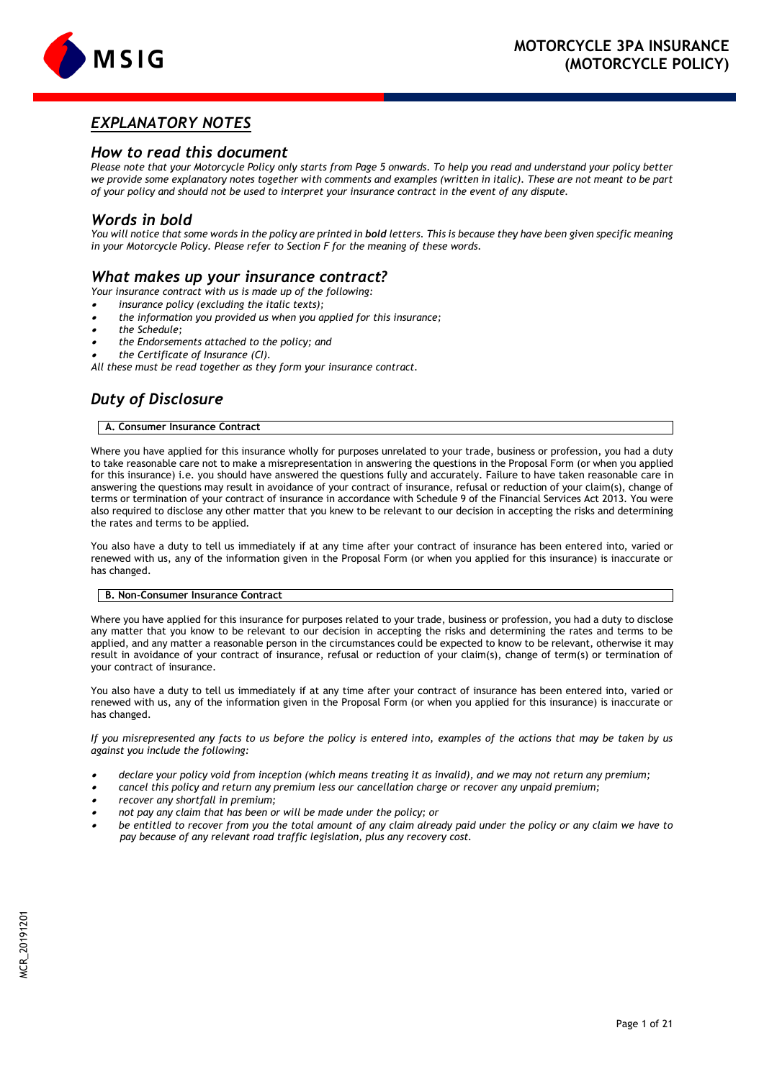

# *EXPLANATORY NOTES*

## *How to read this document*

*Please note that your Motorcycle Policy only starts from Page 5 onwards. To help you read and understand your policy better we provide some explanatory notes together with comments and examples (written in italic). These are not meant to be part of your policy and should not be used to interpret your insurance contract in the event of any dispute.*

## *Words in bold*

You will notice that some words in the policy are printed in **bold** letters. This is because they have been given specific meaning *in your Motorcycle Policy. Please refer to Section F for the meaning of these words.*

# *What makes up your insurance contract?*

*Your insurance contract with us is made up of the following:*

. *insurance policy (excluding the italic texts);*

- . *the information you provided us when you applied for this insurance;*
- . *the Schedule;*
- . *the Endorsements attached to the policy; and*

. *the Certificate of Insurance (CI).* 

*All these must be read together as they form your insurance contract.*

# *Duty of Disclosure*

## **A. Consumer Insurance Contract**

Where you have applied for this insurance wholly for purposes unrelated to your trade, business or profession, you had a duty to take reasonable care not to make a misrepresentation in answering the questions in the Proposal Form (or when you applied for this insurance) i.e. you should have answered the questions fully and accurately. Failure to have taken reasonable care in answering the questions may result in avoidance of your contract of insurance, refusal or reduction of your claim(s), change of terms or termination of your contract of insurance in accordance with Schedule 9 of the Financial Services Act 2013. You were also required to disclose any other matter that you knew to be relevant to our decision in accepting the risks and determining the rates and terms to be applied.

You also have a duty to tell us immediately if at any time after your contract of insurance has been entered into, varied or renewed with us, any of the information given in the Proposal Form (or when you applied for this insurance) is inaccurate or has changed.

## **B. Non-Consumer Insurance Contract**

Where you have applied for this insurance for purposes related to your trade, business or profession, you had a duty to disclose any matter that you know to be relevant to our decision in accepting the risks and determining the rates and terms to be applied, and any matter a reasonable person in the circumstances could be expected to know to be relevant, otherwise it may result in avoidance of your contract of insurance, refusal or reduction of your claim(s), change of term(s) or termination of your contract of insurance.

You also have a duty to tell us immediately if at any time after your contract of insurance has been entered into, varied or renewed with us, any of the information given in the Proposal Form (or when you applied for this insurance) is inaccurate or has changed.

*If you misrepresented any facts to us before the policy is entered into, examples of the actions that may be taken by us against you include the following:*

- . *declare your policy void from inception (which means treating it as invalid), and we may not return any premium;*
- . *cancel this policy and return any premium less our cancellation charge or recover any unpaid premium;*
- . *recover any shortfall in premium;*
- . *not pay any claim that has been or will be made under the policy; or*
- . *be entitled to recover from you the total amount of any claim already paid under the policy or any claim we have to pay because of any relevant road traffic legislation, plus any recovery cost.*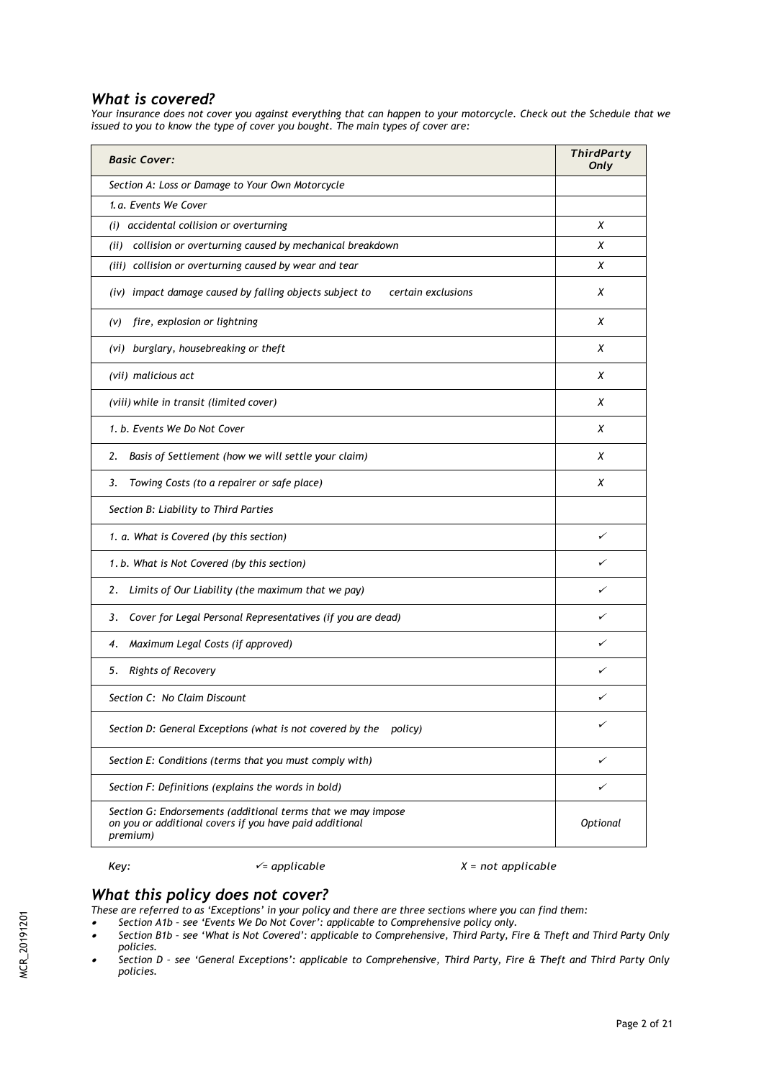# *What is covered?*

*Your insurance does not cover you against everything that can happen to your motorcycle. Check out the Schedule that we issued to you to know the type of cover you bought. The main types of cover are:*

| <b>Basic Cover:</b>                                                                                                                 | <b>ThirdParty</b><br>Only |
|-------------------------------------------------------------------------------------------------------------------------------------|---------------------------|
| Section A: Loss or Damage to Your Own Motorcycle                                                                                    |                           |
| 1. a. Events We Cover                                                                                                               |                           |
| accidental collision or overturning<br>(i)                                                                                          | X                         |
| collision or overturning caused by mechanical breakdown<br>(ii)                                                                     | х                         |
| (iii) collision or overturning caused by wear and tear                                                                              | х                         |
| (iv) impact damage caused by falling objects subject to<br>certain exclusions                                                       | х                         |
| fire, explosion or lightning<br>(V)                                                                                                 | X                         |
| (vi) burglary, housebreaking or theft                                                                                               | х                         |
| (vii) malicious act                                                                                                                 | Х                         |
| (viii) while in transit (limited cover)                                                                                             | X                         |
| 1. b. Events We Do Not Cover                                                                                                        | Х                         |
| Basis of Settlement (how we will settle your claim)<br>2.                                                                           | X                         |
| Towing Costs (to a repairer or safe place)<br>3.                                                                                    | Х                         |
| Section B: Liability to Third Parties                                                                                               |                           |
| 1. a. What is Covered (by this section)                                                                                             | ✓                         |
| 1. b. What is Not Covered (by this section)                                                                                         | ✓                         |
| Limits of Our Liability (the maximum that we pay)<br>2.                                                                             | ✓                         |
| Cover for Legal Personal Representatives (if you are dead)<br>3.                                                                    | ✓                         |
| Maximum Legal Costs (if approved)<br>4.                                                                                             |                           |
| Rights of Recovery<br>5.                                                                                                            | ✓                         |
| Section C: No Claim Discount                                                                                                        | ✓                         |
| Section D: General Exceptions (what is not covered by the<br>policy)                                                                | ✓                         |
| Section E: Conditions (terms that you must comply with)                                                                             | ✓                         |
| Section F: Definitions (explains the words in bold)                                                                                 | ✓                         |
| Section G: Endorsements (additional terms that we may impose<br>on you or additional covers if you have paid additional<br>premium) | Optional                  |

## *Key: = applicable X = not applicable*

## *What this policy does not cover?*

These are referred to as 'Exceptions' in your policy and there are three sections where you can find them:<br>● Section A1b - see 'Events We Do Not Cover': applicable to Comprehensive policy only.

- 
- $\bullet$  *Section B1b – see 'What is Not Covered': applicable to Comprehensive, Third Party, Fire & Theft and Third Party Only policies.*
- . *Section D – see 'General Exceptions': applicable to Comprehensive, Third Party, Fire & Theft and Third Party Only policies.*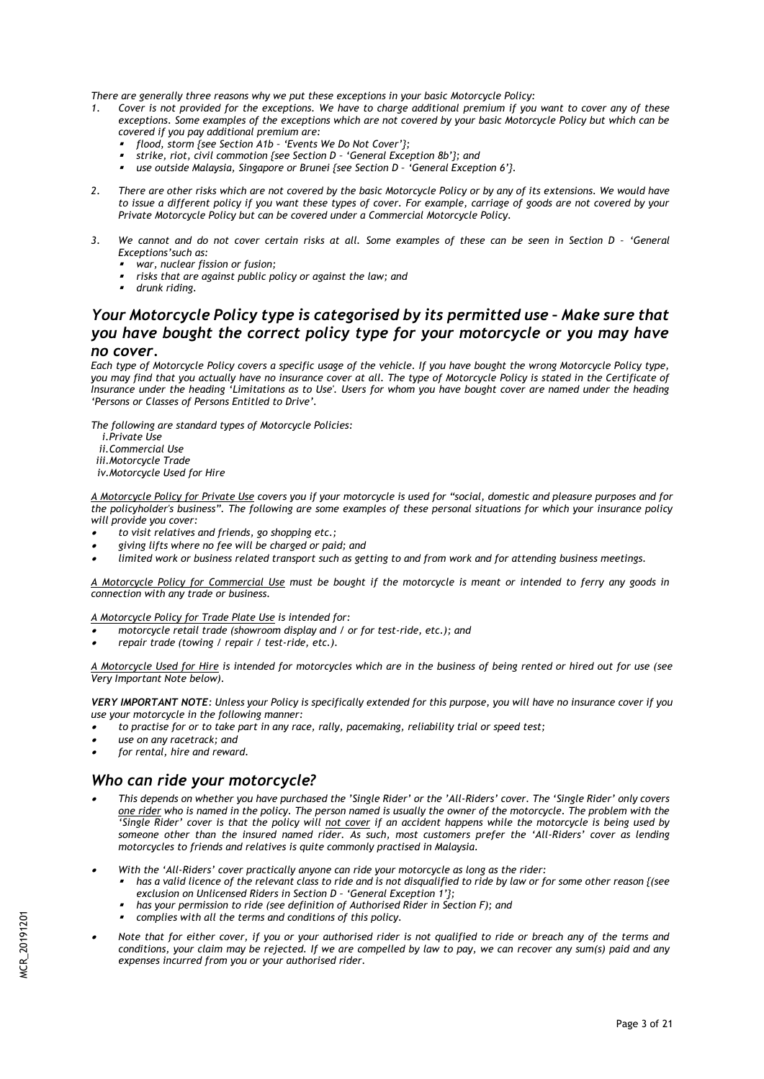*There are generally three reasons why we put these exceptions in your basic Motorcycle Policy:*

- *1. Cover is not provided for the exceptions. We have to charge additional premium if you want to cover any of these exceptions. Some examples of the exceptions which are not covered by your basic Motorcycle Policy but which can be covered if you pay additional premium are:*
	- . *flood, storm {see Section A1b – 'Events We Do Not Cover'};*
	- . *strike, riot, civil commotion {see Section D – 'General Exception 8b'}; and*
	- $\mathbf{r}$ *use outside Malaysia, Singapore or Brunei {see Section D - 'General Exception 6'}.*
- *2. There are other risks which are not covered by the basic Motorcycle Policy or by any of its extensions. We would have to issue a different policy if you want these types of cover. For example, carriage of goods are not covered by your Private Motorcycle Policy but can be covered under a Commercial Motorcycle Policy.*
- 3. We cannot and do not cover certain risks at all. Some examples of these can be seen in Section D 'General *Exceptions'such as:*
	- . *war, nuclear fission or fusion;*
	- , *risks that are against public policy or against the law; and*
	- , *drunk riding.*

# *Your Motorcycle Policy type is categorised by its permitted use - Make sure that you have bought the correct policy type for your motorcycle or you may have no cover.*

*Each type of Motorcycle Policy covers a specific usage of the vehicle. If you have bought the wrong Motorcycle Policy type, you may find that you actually have no insurance cover at all. The type of Motorcycle Policy is stated in the Certificate of Insurance under the heading 'Limitations as to Use'. Users for whom you have bought cover are named under the heading 'Persons or Classes of Persons Entitled to Drive'.*

*The following are standard types of Motorcycle Policies:*

- *i.Private Use*
- *ii.Commercial Use*
- *iii.Motorcycle Trade*

*iv.Motorcycle Used for Hire*

*A Motorcycle Policy for Private Use covers you if your motorcycle is used for "social, domestic and pleasure purposes and for the policyholder's business". The following are some examples of these personal situations for which your insurance policy will provide you cover:* 

- . *to visit relatives and friends, go shopping etc.;*
- . *giving lifts where no fee will be charged or paid; and*
- . *limited work or business related transport such as getting to and from work and for attending business meetings.*

*A Motorcycle Policy for Commercial Use must be bought if the motorcycle is meant or intended to ferry any goods in connection with any trade or business.*

*A Motorcycle Policy for Trade Plate Use is intended for:*

- . *motorcycle retail trade (showroom display and / or for test-ride, etc.); and*
- . *repair trade (towing / repair / test-ride, etc.).*

*A Motorcycle Used for Hire is intended for motorcycles which are in the business of being rented or hired out for use (see Very Important Note below).*

*VERY IMPORTANT NOTE: Unless your Policy is specifically extended for this purpose, you will have no insurance cover if you use your motorcycle in the following manner:*

- . *to practise for or to take part in any race, rally, pacemaking, reliability trial or speed test;*
- . *use on any racetrack; and*
- . *for rental, hire and reward.*

## *Who can ride your motorcycle?*

- . *This depends on whether you have purchased the 'Single Rider' or the 'All-Riders' cover. The 'Single Rider' only covers one rider who is named in the policy. The person named is usually the owner of the motorcycle. The problem with the 'Single Rider' cover is that the policy will not cover if an accident happens while the motorcycle is being used by someone other than the insured named rider. As such, most customers prefer the 'All-Riders' cover as lending motorcycles to friends and relatives is quite commonly practised in Malaysia.*
- . *With the 'All-Riders' cover practically anyone can ride your motorcycle as long as the rider:*
	- , *has a valid licence of the relevant class to ride and is not disqualified to ride by law or for some other reason {(see exclusion on Unlicensed Riders in Section D – 'General Exception 1'};*
	- , *has your permission to ride (see definition of Authorised Rider in Section F); and*
	- , *complies with all the terms and conditions of this policy.*
- . *Note that for either cover, if you or your authorised rider is not qualified to ride or breach any of the terms and conditions, your claim may be rejected. If we are compelled by law to pay, we can recover any sum(s) paid and any expenses incurred from you or your authorised rider.*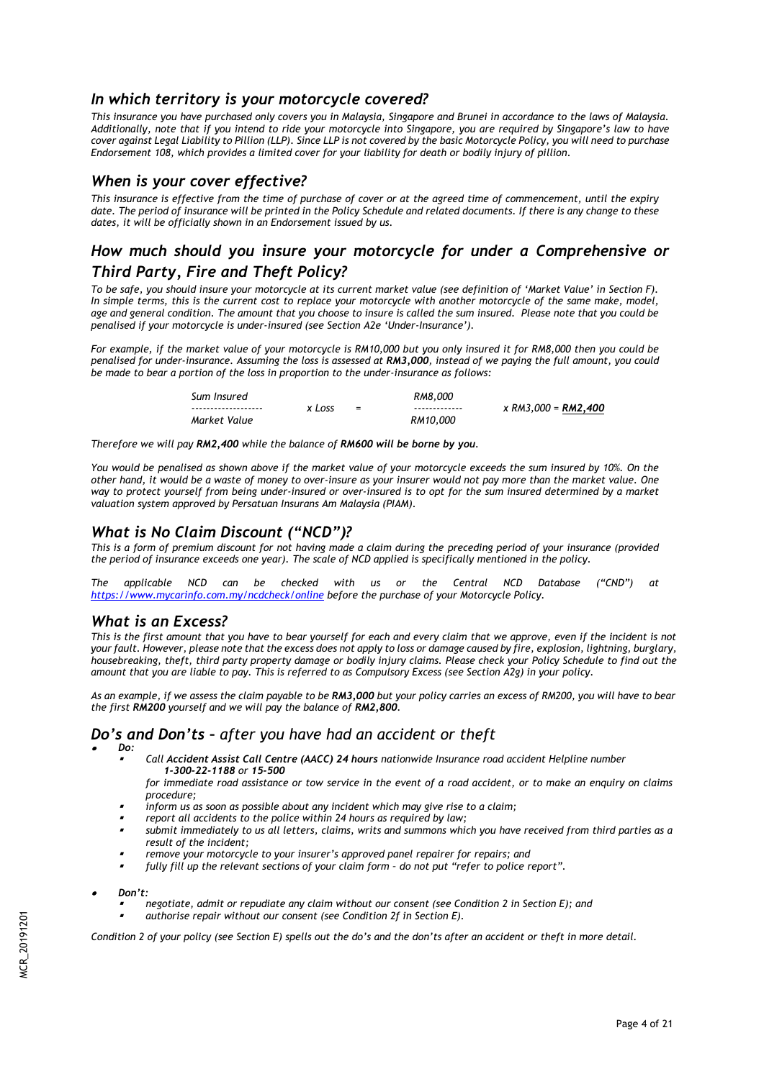# *In which territory is your motorcycle covered?*

*This insurance you have purchased only covers you in Malaysia, Singapore and Brunei in accordance to the laws of Malaysia. Additionally, note that if you intend to ride your motorcycle into Singapore, you are required by Singapore's law to have cover against Legal Liability to Pillion (LLP). Since LLP is not covered by the basic Motorcycle Policy, you will need to purchase Endorsement 108, which provides a limited cover for your liability for death or bodily injury of pillion.* 

## *When is your cover effective?*

*This insurance is effective from the time of purchase of cover or at the agreed time of commencement, until the expiry date. The period of insurance will be printed in the Policy Schedule and related documents. If there is any change to these dates, it will be officially shown in an Endorsement issued by us.*

# *How much should you insure your motorcycle for under a Comprehensive or Third Party, Fire and Theft Policy?*

*To be safe, you should insure your motorcycle at its current market value (see definition of 'Market Value' in Section F).*  In simple terms, this is the current cost to replace your motorcycle with another motorcycle of the same make, model, *age and general condition. The amount that you choose to insure is called the sum insured. Please note that you could be penalised if your motorcycle is under-insured (see Section A2e 'Under-Insurance').*

*For example, if the market value of your motorcycle is RM10,000 but you only insured it for RM8,000 then you could be penalised for under-insurance. Assuming the loss is assessed at RM3,000, instead of we paying the full amount, you could be made to bear a portion of the loss in proportion to the under-insurance as follows:*

| Sum Insured          |        |     | RM8.000       |                            |
|----------------------|--------|-----|---------------|----------------------------|
| -------------------- | x Loss | $=$ | ------------- | x RM3.000 = <b>RM2.400</b> |
| Market Value         |        |     | RM10.000      |                            |

*Therefore we will pay RM2,400 while the balance of RM600 will be borne by you.*

*You would be penalised as shown above if the market value of your motorcycle exceeds the sum insured by 10%. On the other hand, it would be a waste of money to over-insure as your insurer would not pay more than the market value. One way to protect yourself from being under-insured or over-insured is to opt for the sum insured determined by a market valuation system approved by Persatuan Insurans Am Malaysia (PIAM).* 

# *What is No Claim Discount ("NCD")?*

*This is a form of premium discount for not having made a claim during the preceding period of your insurance (provided the period of insurance exceeds one year). The scale of NCD applied is specifically mentioned in the policy.*

*The applicable NCD can be checked with us or the Central NCD Database ("CND") at <https://www.mycarinfo.com.my/ncdcheck/online> before the purchase of your Motorcycle Policy.* 

## *What is an Excess?*

*This is the first amount that you have to bear yourself for each and every claim that we approve, even if the incident is not your fault. However, please note that the excess does not apply to loss or damage caused by fire, explosion, lightning, burglary, housebreaking, theft, third party property damage or bodily injury claims. Please check your Policy Schedule to find out the amount that you are liable to pay. This is referred to as Compulsory Excess (see Section A2g) in your policy.* 

*As an example, if we assess the claim payable to be RM3,000 but your policy carries an excess of RM200, you will have to bear the first RM200 yourself and we will pay the balance of RM2,800.*

# *Do's and Don'ts – after you have had an accident or theft*

- . *Do:*
	- , *Call Accident Assist Call Centre (AACC) 24 hours nationwide Insurance road accident Helpline number 1-300-22-1188 or 15-500*
	- *for immediate road assistance or tow service in the event of a road accident, or to make an enquiry on claims procedure;*
	- , *inform us as soon as possible about any incident which may give rise to a claim;*
	- , *report all accidents to the police within 24 hours as required by law;*
	- , *submit immediately to us all letters, claims, writs and summons which you have received from third parties as a result of the incident;*
	- , *remove your motorcycle to your insurer's approved panel repairer for repairs; and*
	- , *fully fill up the relevant sections of your claim form – do not put "refer to police report".*
- . *Don't:*
	- , *negotiate, admit or repudiate any claim without our consent (see Condition 2 in Section E); and*
	- , *authorise repair without our consent (see Condition 2f in Section E).*

*Condition 2 of your policy (see Section E) spells out the do's and the don'ts after an accident or theft in more detail.*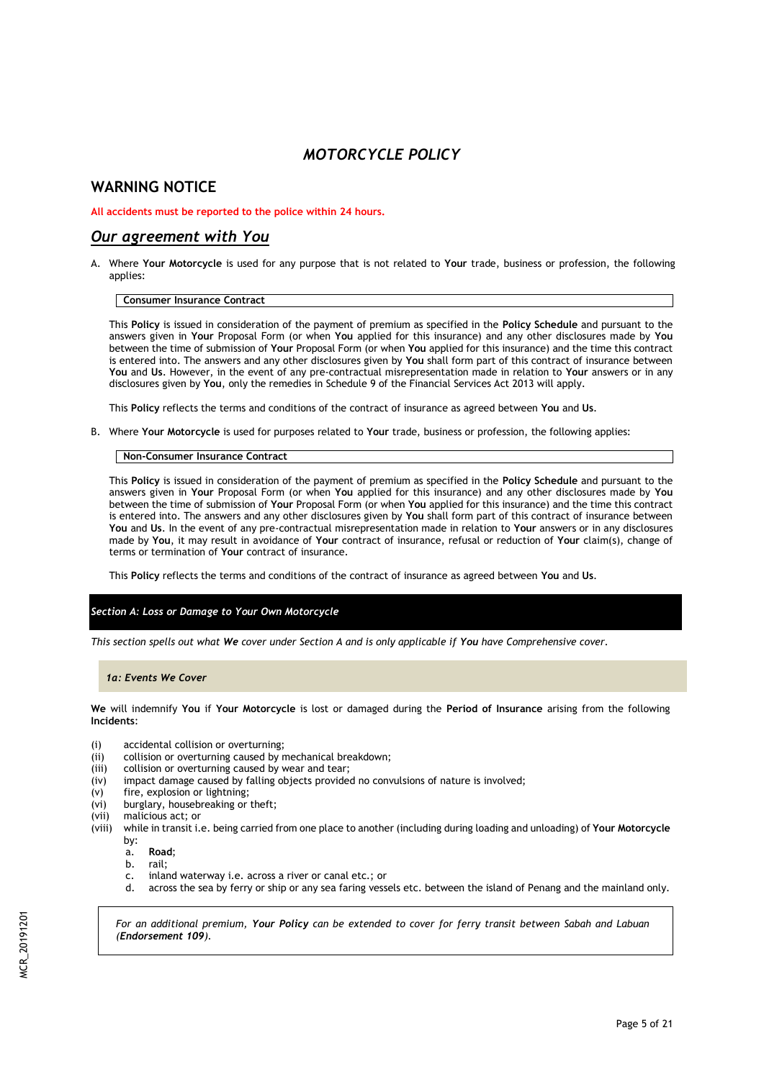# *MOTORCYCLE POLICY*

# **WARNING NOTICE**

## **All accidents must be reported to the police within 24 hours.**

## *Our agreement with You*

A. Where **Your Motorcycle** is used for any purpose that is not related to **Your** trade, business or profession, the following applies:

## **Consumer Insurance Contract**

This **Policy** is issued in consideration of the payment of premium as specified in the **Policy Schedule** and pursuant to the answers given in **Your** Proposal Form (or when **You** applied for this insurance) and any other disclosures made by **You**  between the time of submission of **Your** Proposal Form (or when **You** applied for this insurance) and the time this contract is entered into. The answers and any other disclosures given by **You** shall form part of this contract of insurance between **You** and **Us**. However, in the event of any pre-contractual misrepresentation made in relation to **Your** answers or in any disclosures given by **You**, only the remedies in Schedule 9 of the Financial Services Act 2013 will apply.

This **Policy** reflects the terms and conditions of the contract of insurance as agreed between **You** and **Us**.

B. Where **Your Motorcycle** is used for purposes related to **Your** trade, business or profession, the following applies:

## **Non-Consumer Insurance Contract**

This **Policy** is issued in consideration of the payment of premium as specified in the **Policy Schedule** and pursuant to the answers given in **Your** Proposal Form (or when **You** applied for this insurance) and any other disclosures made by **You** between the time of submission of **Your** Proposal Form (or when **You** applied for this insurance) and the time this contract is entered into. The answers and any other disclosures given by **You** shall form part of this contract of insurance between **You** and **Us**. In the event of any pre-contractual misrepresentation made in relation to **Your** answers or in any disclosures made by **You**, it may result in avoidance of **Your** contract of insurance, refusal or reduction of **Your** claim(s), change of terms or termination of **Your** contract of insurance.

This **Policy** reflects the terms and conditions of the contract of insurance as agreed between **You** and **Us**.

## *Section A: Loss or Damage to Your Own Motorcycle*

*This section spells out what We cover under Section A and is only applicable if You have Comprehensive cover.*

## *1a: Events We Cover*

**We** will indemnify **You** if **Your Motorcycle** is lost or damaged during the **Period of Insurance** arising from the following **Incidents**:

- (i) accidental collision or overturning;
- (ii) collision or overturning caused by mechanical breakdown;
- (iii) collision or overturning caused by wear and tear;<br>(iv) impact damage caused by falling objects provide
- impact damage caused by falling objects provided no convulsions of nature is involved;
- (v) fire, explosion or lightning;
- (vi) burglary, housebreaking or theft;
- (vii) malicious act; or
- (viii) while in transit i.e. being carried from one place to another (including during loading and unloading) of **Your Motorcycle**  by:
	- a. **Road**;
	- b. rail;
	- c. inland waterway i.e. across a river or canal etc.; or
	- d. across the sea by ferry or ship or any sea faring vessels etc. between the island of Penang and the mainland only.

*For an additional premium, Your Policy can be extended to cover for ferry transit between Sabah and Labuan (Endorsement 109).*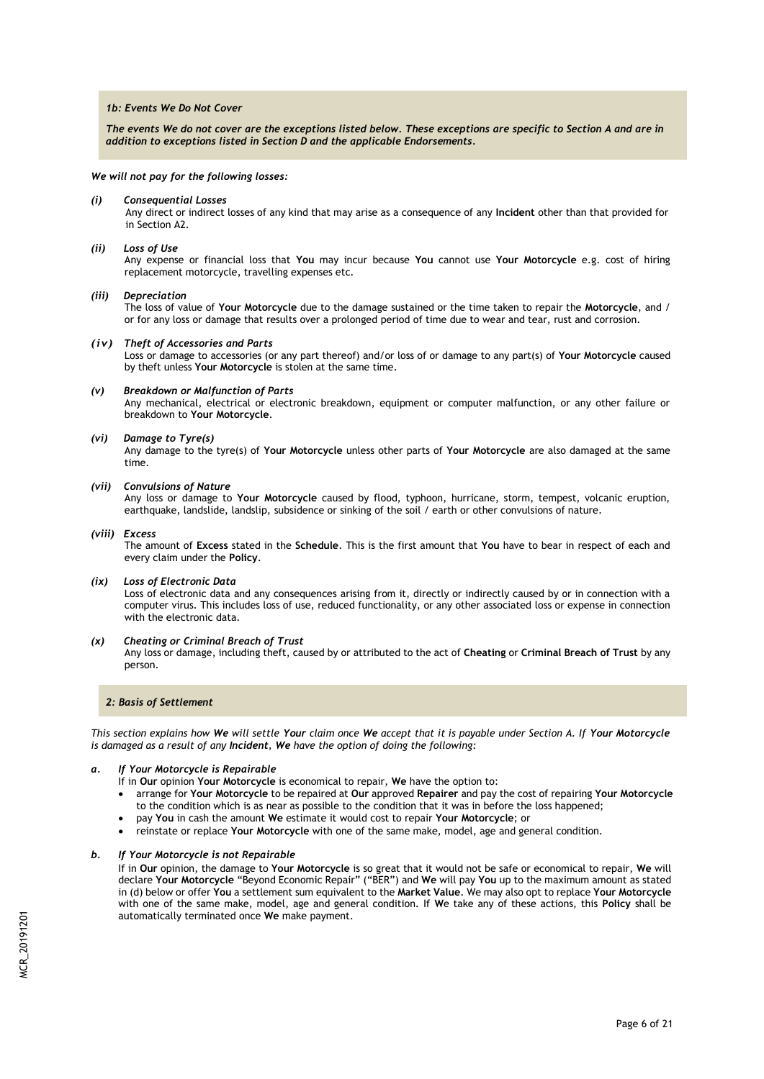### *1b: Events We Do Not Cover*

*The events We do not cover are the exceptions listed below. These exceptions are specific to Section A and are in addition to exceptions listed in Section D and the applicable Endorsements.*

*We will not pay for the following losses:*

*(i) Consequential Losses*

Any direct or indirect losses of any kind that may arise as a consequence of any **Incident** other than that provided for in Section A2.

#### *(ii) Loss of Use*

Any expense or financial loss that **You** may incur because **You** cannot use **Your Motorcycle** e.g. cost of hiring replacement motorcycle, travelling expenses etc.

#### *(iii) Depreciation*

The loss of value of **Your Motorcycle** due to the damage sustained or the time taken to repair the **Motorcycle**, and / or for any loss or damage that results over a prolonged period of time due to wear and tear, rust and corrosion.

#### *(iv) Theft of Accessories and Parts*

Loss or damage to accessories (or any part thereof) and/or loss of or damage to any part(s) of **Your Motorcycle** caused by theft unless **Your Motorcycle** is stolen at the same time.

#### *(v) Breakdown or Malfunction of Parts*

Any mechanical, electrical or electronic breakdown, equipment or computer malfunction, or any other failure or breakdown to **Your Motorcycle**.

#### *(vi) Damage to Tyre(s)*

Any damage to the tyre(s) of **Your Motorcycle** unless other parts of **Your Motorcycle** are also damaged at the same time.

#### *(vii) Convulsions of Nature*

Any loss or damage to **Your Motorcycle** caused by flood, typhoon, hurricane, storm, tempest, volcanic eruption, earthquake, landslide, landslip, subsidence or sinking of the soil / earth or other convulsions of nature.

#### *(viii) Excess*

The amount of **Excess** stated in the **Schedule**. This is the first amount that **You** have to bear in respect of each and every claim under the **Policy**.

#### *(ix) Loss of Electronic Data*

Loss of electronic data and any consequences arising from it, directly or indirectly caused by or in connection with a computer virus. This includes loss of use, reduced functionality, or any other associated loss or expense in connection with the electronic data.

#### *(x) Cheating or Criminal Breach of Trust*

Any loss or damage, including theft, caused by or attributed to the act of **Cheating** or **Criminal Breach of Trust** by any person.

## *2: Basis of Settlement*

*This section explains how We will settle Your claim once We accept that it is payable under Section A. If Your Motorcycle is damaged as a result of any Incident, We have the option of doing the following:*

## *a. If Your Motorcycle is Repairable*

- If in **Our** opinion **Your Motorcycle** is economical to repair, **We** have the option to:
- arrange for **Your Motorcycle** to be repaired at **Our** approved **Repairer** and pay the cost of repairing **Your Motorcycle** to the condition which is as near as possible to the condition that it was in before the loss happened;
- pay **You** in cash the amount **We** estimate it would cost to repair **Your Motorcycle**; or
- reinstate or replace **Your Motorcycle** with one of the same make, model, age and general condition.

### *b. If Your Motorcycle is not Repairable*

If in **Our** opinion, the damage to **Your Motorcycle** is so great that it would not be safe or economical to repair, **We** will declare **Your Motorcycle** "Beyond Economic Repair" ("BER") and **We** will pay **You** up to the maximum amount as stated in (d) below or offer **You** a settlement sum equivalent to the **Market Value**. We may also opt to replace **Your Motorcycle**  with one of the same make, model, age and general condition. If **W**e take any of these actions, this **Policy** shall be automatically terminated once **We** make payment.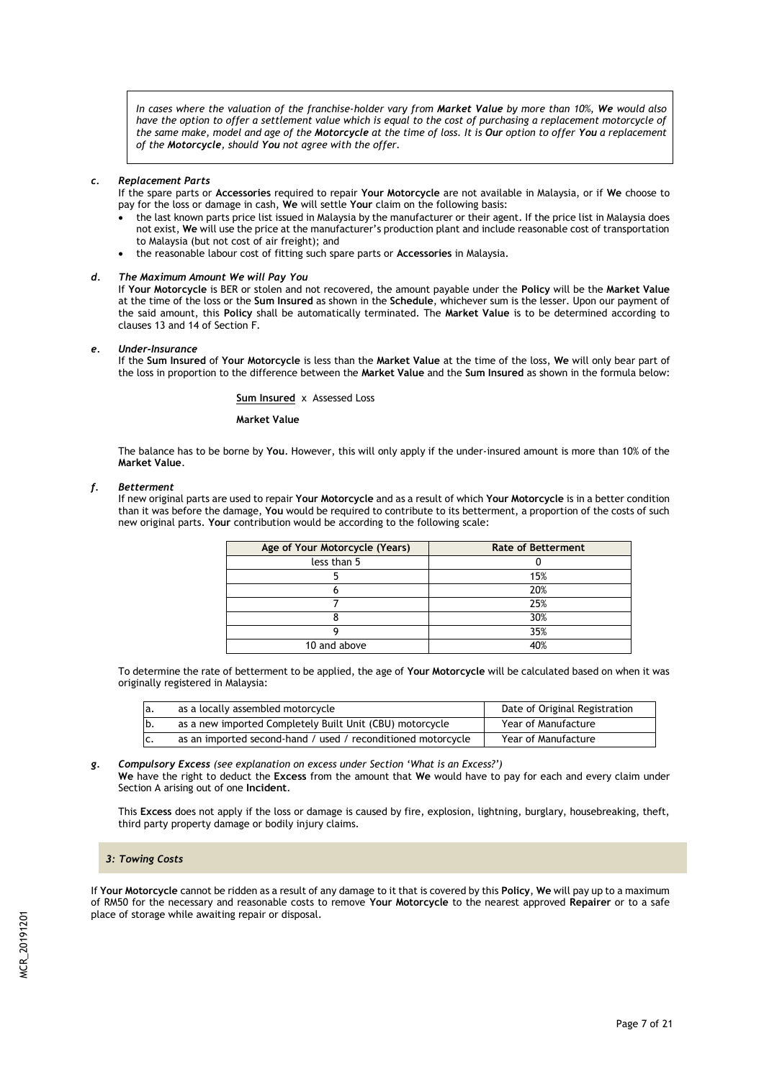*In cases where the valuation of the franchise-holder vary from Market Value by more than 10%, We would also have the option to offer a settlement value which is equal to the cost of purchasing a replacement motorcycle of the same make, model and age of the Motorcycle at the time of loss. It is Our option to offer You a replacement of the Motorcycle, should You not agree with the offer.*

#### *c. Replacement Parts*

If the spare parts or **Accessories** required to repair **Your Motorcycle** are not available in Malaysia, or if **We** choose to pay for the loss or damage in cash, **We** will settle **Your** claim on the following basis:

- the last known parts price list issued in Malaysia by the manufacturer or their agent. If the price list in Malaysia does not exist, **We** will use the price at the manufacturer's production plant and include reasonable cost of transportation to Malaysia (but not cost of air freight); and
- the reasonable labour cost of fitting such spare parts or **Accessories** in Malaysia.

## *d. The Maximum Amount We will Pay You*

If **Your Motorcycle** is BER or stolen and not recovered, the amount payable under the **Policy** will be the **Market Value**  at the time of the loss or the **Sum Insured** as shown in the **Schedule**, whichever sum is the lesser. Upon our payment of the said amount, this **Policy** shall be automatically terminated. The **Market Value** is to be determined according to clauses 13 and 14 of Section F.

#### *e. Under-Insurance*

If the **Sum Insured** of **Your Motorcycle** is less than the **Market Value** at the time of the loss, **We** will only bear part of the loss in proportion to the difference between the **Market Value** and the **Sum Insured** as shown in the formula below:

#### **Sum Insured** xAssessed Loss

#### **Market Value**

The balance has to be borne by **You**. However, this will only apply if the under-insured amount is more than 10% of the **Market Value**.

#### *f. Betterment*

If new original parts are used to repair **Your Motorcycle** and as a result of which **Your Motorcycle** is in a better condition than it was before the damage, **You** would be required to contribute to its betterment, a proportion of the costs of such new original parts. **Your** contribution would be according to the following scale:

| Age of Your Motorcycle (Years) | <b>Rate of Betterment</b> |
|--------------------------------|---------------------------|
| less than 5                    |                           |
|                                | 15%                       |
|                                | 20%                       |
|                                | 25%                       |
|                                | 30%                       |
|                                | 35%                       |
| 10 and above                   | 40%                       |

To determine the rate of betterment to be applied, the age of **Your Motorcycle** will be calculated based on when it was originally registered in Malaysia:

| la. | as a locally assembled motorcycle                            | Date of Original Registration |
|-----|--------------------------------------------------------------|-------------------------------|
| lb. | as a new imported Completely Built Unit (CBU) motorcycle     | Year of Manufacture           |
| IC. | as an imported second-hand / used / reconditioned motorcycle | Year of Manufacture           |

*g. Compulsory Excess (see explanation on excess under Section 'What is an Excess?')*

**We** have the right to deduct the **Excess** from the amount that **We** would have to pay for each and every claim under Section A arising out of one **Incident**.

This **Excess** does not apply if the loss or damage is caused by fire, explosion, lightning, burglary, housebreaking, theft, third party property damage or bodily injury claims.

#### *3: Towing Costs*

If **Your Motorcycle** cannot be ridden as a result of any damage to it that is covered by this **Policy**, **We** will pay up to a maximum of RM50 for the necessary and reasonable costs to remove **Your Motorcycle** to the nearest approved **Repairer** or to a safe place of storage while awaiting repair or disposal.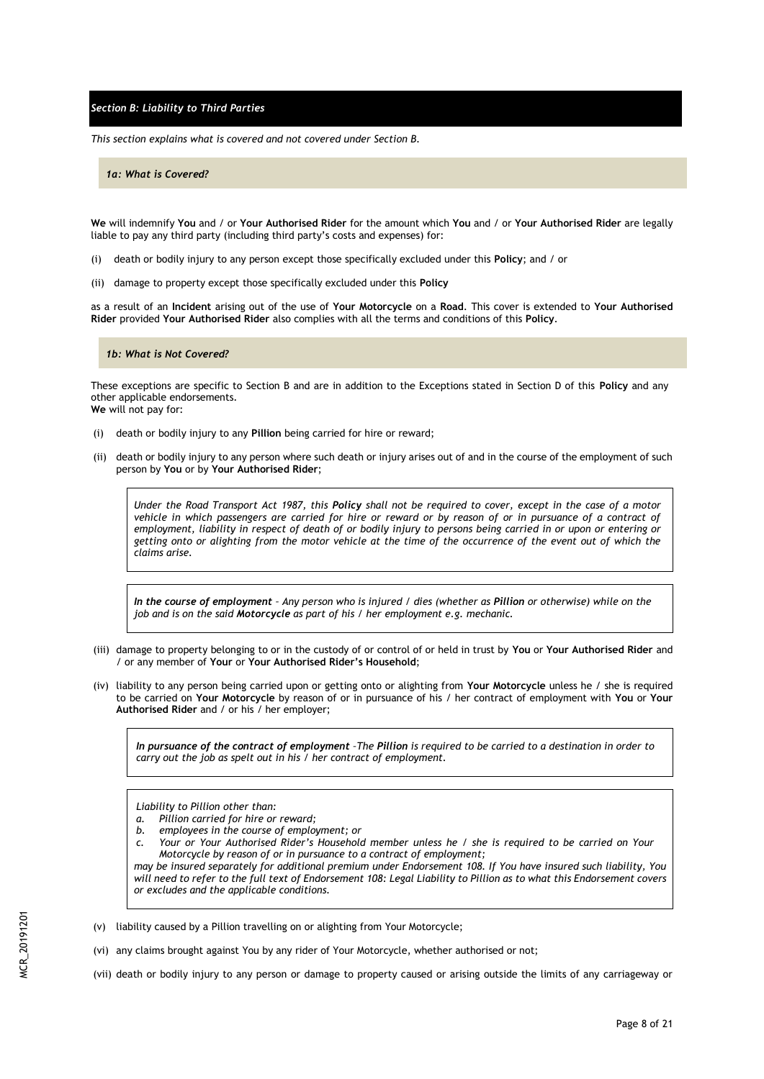*Section B: Liability to Third Parties*

*This section explains what is covered and not covered under Section B.*

*1a: What is Covered?*

**We** will indemnify **You** and / or **Your Authorised Rider** for the amount which **You** and / or **Your Authorised Rider** are legally liable to pay any third party (including third party's costs and expenses) for:

- (i) death or bodily injury to any person except those specifically excluded under this **Policy**; and / or
- (ii) damage to property except those specifically excluded under this **Policy**

as a result of an **Incident** arising out of the use of **Your Motorcycle** on a **Road**. This cover is extended to **Your Authorised Rider** provided **Your Authorised Rider** also complies with all the terms and conditions of this **Policy**.

#### *1b: What is Not Covered?*

These exceptions are specific to Section B and are in addition to the Exceptions stated in Section D of this **Policy** and any other applicable endorsements. **We** will not pay for:

- (i) death or bodily injury to any **Pillion** being carried for hire or reward;
- (ii) death or bodily injury to any person where such death or injury arises out of and in the course of the employment of such person by **You** or by **Your Authorised Rider**;

*Under the Road Transport Act 1987, this Policy shall not be required to cover, except in the case of a motor vehicle in which passengers are carried for hire or reward or by reason of or in pursuance of a contract of employment, liability in respect of death of or bodily injury to persons being carried in or upon or entering or getting onto or alighting from the motor vehicle at the time of the occurrence of the event out of which the claims arise.*

*In the course of employment – Any person who is injured / dies (whether as Pillion or otherwise) while on the job and is on the said Motorcycle as part of his / her employment e.g. mechanic.*

- (iii) damage to property belonging to or in the custody of or control of or held in trust by **You** or **Your Authorised Rider** and / or any member of **Your** or **Your Authorised Rider's Household**;
- (iv) liability to any person being carried upon or getting onto or alighting from **Your Motorcycle** unless he / she is required to be carried on **Your Motorcycle** by reason of or in pursuance of his / her contract of employment with **You** or **Your Authorised Rider** and / or his / her employer;

*In pursuance of the contract of employment –The Pillion is required to be carried to a destination in order to carry out the job as spelt out in his / her contract of employment.*

*Liability to Pillion other than:*

- *a. Pillion carried for hire or reward;*
- *b. employees in the course of employment; or*
- *c. Your or Your Authorised Rider's Household member unless he / she is required to be carried on Your Motorcycle by reason of or in pursuance to a contract of employment;*

*may be insured separately for additional premium under Endorsement 108. If You have insured such liability, You will need to refer to the full text of Endorsement 108: Legal Liability to Pillion as to what this Endorsement covers or excludes and the applicable conditions.*

- (v) liability caused by a Pillion travelling on or alighting from Your Motorcycle;
- (vi) any claims brought against You by any rider of Your Motorcycle, whether authorised or not;
- (vii) death or bodily injury to any person or damage to property caused or arising outside the limits of any carriageway or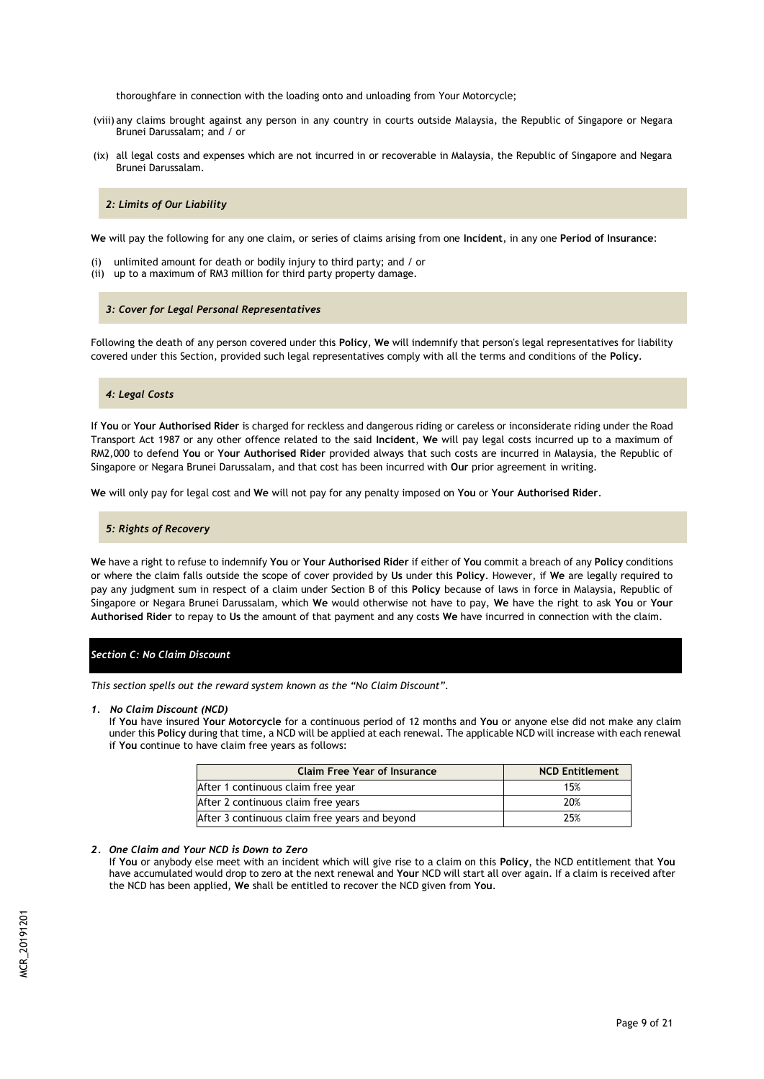thoroughfare in connection with the loading onto and unloading from Your Motorcycle;

- (viii) any claims brought against any person in any country in courts outside Malaysia, the Republic of Singapore or Negara Brunei Darussalam; and / or
- (ix) all legal costs and expenses which are not incurred in or recoverable in Malaysia, the Republic of Singapore and Negara Brunei Darussalam.

## *2: Limits of Our Liability*

**We** will pay the following for any one claim, or series of claims arising from one **Incident**, in any one **Period of Insurance**:

- (i) unlimited amount for death or bodily injury to third party; and / or
- (ii) up to a maximum of RM3 million for third party property damage.

### *3: Cover for Legal Personal Representatives*

Following the death of any person covered under this **Policy**, **We** will indemnify that person's legal representatives for liability covered under this Section, provided such legal representatives comply with all the terms and conditions of the **Policy**.

#### *4: Legal Costs*

If **You** or **Your Authorised Rider** is charged for reckless and dangerous riding or careless or inconsiderate riding under the Road Transport Act 1987 or any other offence related to the said **Incident**, **We** will pay legal costs incurred up to a maximum of RM2,000 to defend **You** or **Your Authorised Rider** provided always that such costs are incurred in Malaysia, the Republic of Singapore or Negara Brunei Darussalam, and that cost has been incurred with **Our** prior agreement in writing.

**We** will only pay for legal cost and **We** will not pay for any penalty imposed on **You** or **Your Authorised Rider**.

#### *5: Rights of Recovery*

**We** have a right to refuse to indemnify **You** or **Your Authorised Rider** if either of **You** commit a breach of any **Policy** conditions or where the claim falls outside the scope of cover provided by **Us** under this **Policy**. However, if **We** are legally required to pay any judgment sum in respect of a claim under Section B of this **Policy** because of laws in force in Malaysia, Republic of Singapore or Negara Brunei Darussalam, which **We** would otherwise not have to pay, **We** have the right to ask **You** or **Your Authorised Rider** to repay to **Us** the amount of that payment and any costs **We** have incurred in connection with the claim.

## *Section C: No Claim Discount*

*This section spells out the reward system known as the "No Claim Discount".*

#### *1. No Claim Discount (NCD)*

If **You** have insured **Your Motorcycle** for a continuous period of 12 months and **You** or anyone else did not make any claim under this **Policy** during that time, a NCD will be applied at each renewal. The applicable NCD will increase with each renewal if **You** continue to have claim free years as follows:

| <b>Claim Free Year of Insurance</b>            | <b>NCD Entitlement</b> |
|------------------------------------------------|------------------------|
| After 1 continuous claim free year             | 15%                    |
| After 2 continuous claim free years            | 20%                    |
| After 3 continuous claim free years and beyond | 25%                    |

### *2. One Claim and Your NCD is Down to Zero*

If **You** or anybody else meet with an incident which will give rise to a claim on this **Policy**, the NCD entitlement that **You** have accumulated would drop to zero at the next renewal and **Your** NCD will start all over again. If a claim is received after the NCD has been applied, **We** shall be entitled to recover the NCD given from **You**.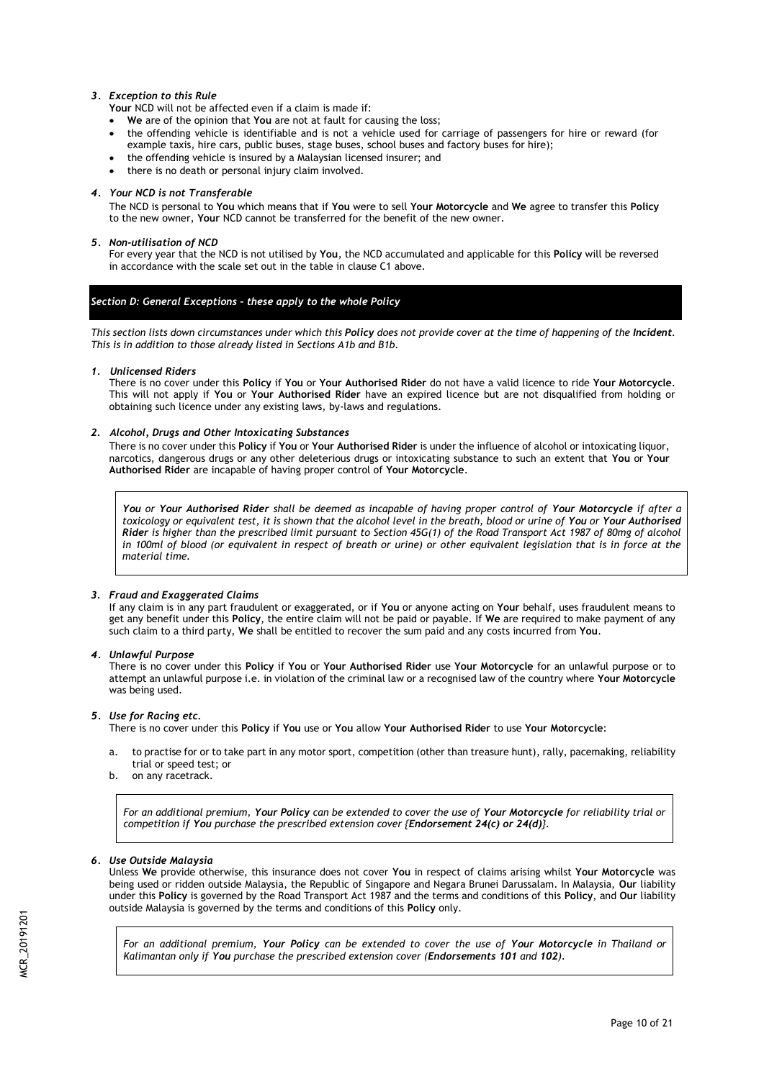## *3. Exception to this Rule*

**Your** NCD will not be affected even if a claim is made if:

- **We** are of the opinion that **You** are not at fault for causing the loss;
- the offending vehicle is identifiable and is not a vehicle used for carriage of passengers for hire or reward (for example taxis, hire cars, public buses, stage buses, school buses and factory buses for hire);
- the offending vehicle is insured by a Malaysian licensed insurer; and
- there is no death or personal injury claim involved.

## *4. Your NCD is not Transferable*

The NCD is personal to **You** which means that if **You** were to sell **Your Motorcycle** and **We** agree to transfer this **Policy** to the new owner, **Your** NCD cannot be transferred for the benefit of the new owner.

## *5. Non-utilisation of NCD*

For every year that the NCD is not utilised by **You**, the NCD accumulated and applicable for this **Policy** will be reversed in accordance with the scale set out in the table in clause C1 above.

## *Section D: General Exceptions - these apply to the whole Policy*

*This section lists down circumstances under which this Policy does not provide cover at the time of happening of the Incident. This is in addition to those already listed in Sections A1b and B1b.*

## *1. Unlicensed Riders*

There is no cover under this **Policy** if **You** or **Your Authorised Rider** do not have a valid licence to ride **Your Motorcycle**. This will not apply if **You** or **Your Authorised Rider** have an expired licence but are not disqualified from holding or obtaining such licence under any existing laws, by-laws and regulations.

## *2. Alcohol, Drugs and Other Intoxicating Substances*

There is no cover under this **Policy** if **You** or **Your Authorised Rider** is under the influence of alcohol or intoxicating liquor, narcotics, dangerous drugs or any other deleterious drugs or intoxicating substance to such an extent that **You** or **Your Authorised Rider** are incapable of having proper control of **Your Motorcycle**.

*You or Your Authorised Rider shall be deemed as incapable of having proper control of Your Motorcycle if after a toxicology or equivalent test, it is shown that the alcohol level in the breath, blood or urine of You or Your Authorised Rider is higher than the prescribed limit pursuant to Section 45G(1) of the Road Transport Act 1987 of 80mg of alcohol in 100ml of blood (or equivalent in respect of breath or urine) or other equivalent legislation that is in force at the material time.* 

## *3. Fraud and Exaggerated Claims*

If any claim is in any part fraudulent or exaggerated, or if **You** or anyone acting on **Your** behalf, uses fraudulent means to get any benefit under this **Policy**, the entire claim will not be paid or payable. If **We** are required to make payment of any such claim to a third party, **We** shall be entitled to recover the sum paid and any costs incurred from **You**.

## *4. Unlawful Purpose*

There is no cover under this **Policy** if **You** or **Your Authorised Rider** use **Your Motorcycle** for an unlawful purpose or to attempt an unlawful purpose i.e. in violation of the criminal law or a recognised law of the country where **Your Motorcycle** was being used.

## *5. Use for Racing etc.*

There is no cover under this **Policy** if **You** use or **You** allow **Your Authorised Rider** to use **Your Motorcycle**:

- a. to practise for or to take part in any motor sport, competition (other than treasure hunt), rally, pacemaking, reliability trial or speed test; or
- b. on any racetrack.

*For an additional premium, Your Policy can be extended to cover the use of Your Motorcycle for reliability trial or competition if You purchase the prescribed extension cover {Endorsement 24(c) or 24(d)}.*

## *6. Use Outside Malaysia*

Unless **We** provide otherwise, this insurance does not cover **You** in respect of claims arising whilst **Your Motorcycle** was being used or ridden outside Malaysia, the Republic of Singapore and Negara Brunei Darussalam. In Malaysia, **Our** liability under this **Policy** is governed by the Road Transport Act 1987 and the terms and conditions of this **Policy**, and **Our** liability outside Malaysia is governed by the terms and conditions of this **Policy** only.

*For an additional premium, Your Policy can be extended to cover the use of Your Motorcycle in Thailand or Kalimantan only if You purchase the prescribed extension cover (Endorsements 101 and 102).*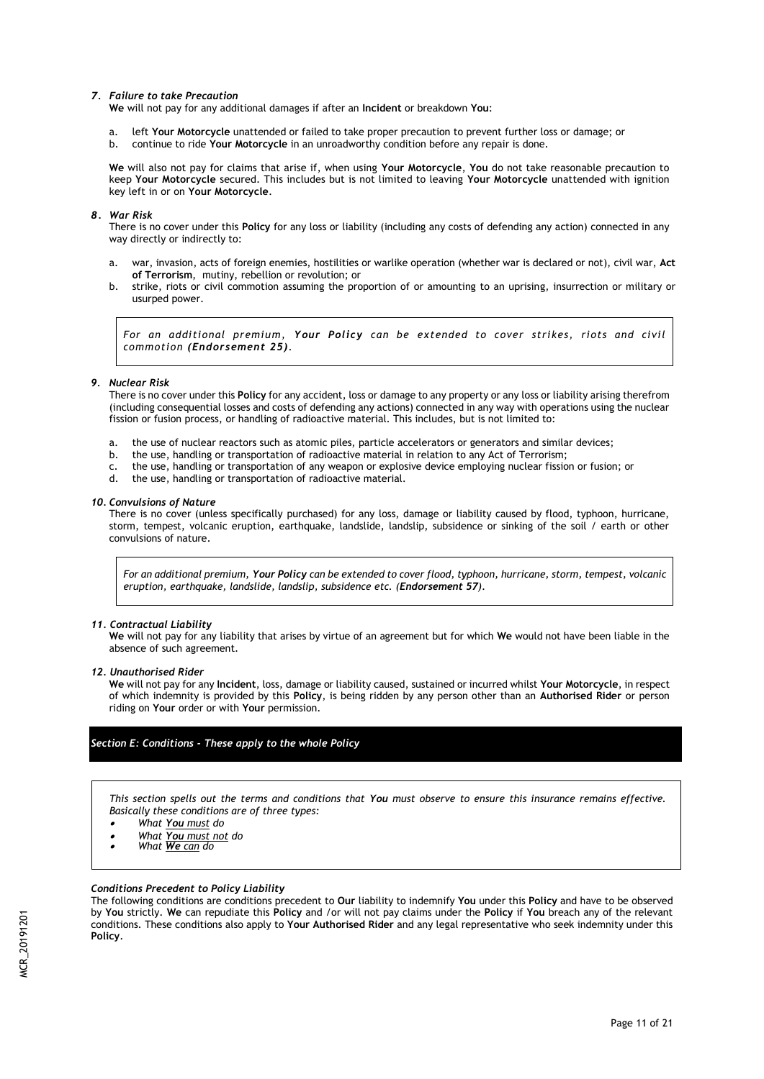### *7. Failure to take Precaution*

**We** will not pay for any additional damages if after an **Incident** or breakdown **You**:

- a. left **Your Motorcycle** unattended or failed to take proper precaution to prevent further loss or damage; or
- b. continue to ride **Your Motorcycle** in an unroadworthy condition before any repair is done.

**We** will also not pay for claims that arise if, when using **Your Motorcycle**, **You** do not take reasonable precaution to keep **Your Motorcycle** secured. This includes but is not limited to leaving **Your Motorcycle** unattended with ignition key left in or on **Your Motorcycle**.

## *8. War Risk*

There is no cover under this **Policy** for any loss or liability (including any costs of defending any action) connected in any way directly or indirectly to:

- a. war, invasion, acts of foreign enemies, hostilities or warlike operation (whether war is declared or not), civil war, **Act of Terrorism**, mutiny, rebellion or revolution; or
- b. strike, riots or civil commotion assuming the proportion of or amounting to an uprising, insurrection or military or usurped power.

*For an additional premium, Your Policy can be extended to cover strikes, riots and civil commotion (Endorsement 25).*

#### *9. Nuclear Risk*

There is no cover under this **Policy** for any accident, loss or damage to any property or any loss or liability arising therefrom (including consequential losses and costs of defending any actions) connected in any way with operations using the nuclear fission or fusion process, or handling of radioactive material. This includes, but is not limited to:

- a. the use of nuclear reactors such as atomic piles, particle accelerators or generators and similar devices;
- b. the use, handling or transportation of radioactive material in relation to any Act of Terrorism;
- c. the use, handling or transportation of any weapon or explosive device employing nuclear fission or fusion; or
- the use, handling or transportation of radioactive material.

#### *10. Convulsions of Nature*

There is no cover (unless specifically purchased) for any loss, damage or liability caused by flood, typhoon, hurricane, storm, tempest, volcanic eruption, earthquake, landslide, landslip, subsidence or sinking of the soil / earth or other convulsions of nature.

*For an additional premium, Your Policy can be extended to cover flood, typhoon, hurricane, storm, tempest, volcanic eruption, earthquake, landslide, landslip, subsidence etc. (Endorsement 57).*

## *11. Contractual Liability*

**We** will not pay for any liability that arises by virtue of an agreement but for which **We** would not have been liable in the absence of such agreement.

*12. Unauthorised Rider*

**We** will not pay for any **Incident**, loss, damage or liability caused, sustained or incurred whilst **Your Motorcycle**, in respect of which indemnity is provided by this **Policy**, is being ridden by any person other than an **Authorised Rider** or person riding on **Your** order or with **Your** permission.

## *Section E: Conditions - These apply to the whole Policy*

*This section spells out the terms and conditions that You must observe to ensure this insurance remains effective. Basically these conditions are of three types:*

- . *What You must do*
- . *What You must not do*
- $\bullet$ *What We can do*

## *Conditions Precedent to Policy Liability*

The following conditions are conditions precedent to **Our** liability to indemnify **You** under this **Policy** and have to be observed by **You** strictly. **We** can repudiate this **Policy** and /or will not pay claims under the **Policy** if **You** breach any of the relevant conditions. These conditions also apply to **Your Authorised Rider** and any legal representative who seek indemnity under this **Policy**.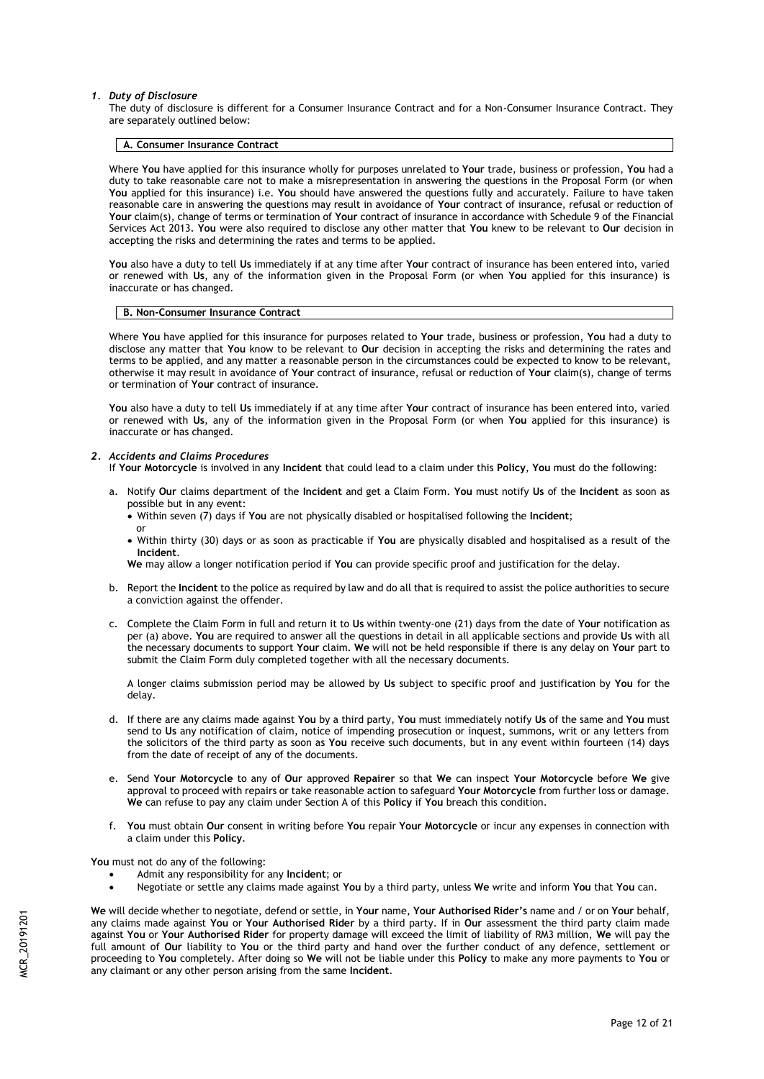#### *1. Duty of Disclosure*

The duty of disclosure is different for a Consumer Insurance Contract and for a Non-Consumer Insurance Contract. They are separately outlined below:

#### **A. Consumer Insurance Contract**

Where **You** have applied for this insurance wholly for purposes unrelated to **Your** trade, business or profession, **You** had a duty to take reasonable care not to make a misrepresentation in answering the questions in the Proposal Form (or when **You** applied for this insurance) i.e. **You** should have answered the questions fully and accurately. Failure to have taken reasonable care in answering the questions may result in avoidance of **Your** contract of insurance, refusal or reduction of **Your** claim(s), change of terms or termination of **Your** contract of insurance in accordance with Schedule 9 of the Financial Services Act 2013. **You** were also required to disclose any other matter that **You** knew to be relevant to **Our** decision in accepting the risks and determining the rates and terms to be applied.

**You** also have a duty to tell **Us** immediately if at any time after **Your** contract of insurance has been entered into, varied or renewed with **Us**, any of the information given in the Proposal Form (or when **You** applied for this insurance) is inaccurate or has changed.

#### **B. Non-Consumer Insurance Contract**

Where **You** have applied for this insurance for purposes related to **Your** trade, business or profession, **You** had a duty to disclose any matter that **You** know to be relevant to **Our** decision in accepting the risks and determining the rates and terms to be applied, and any matter a reasonable person in the circumstances could be expected to know to be relevant, otherwise it may result in avoidance of **Your** contract of insurance, refusal or reduction of **Your** claim(s), change of terms or termination of **Your** contract of insurance.

**You** also have a duty to tell **Us** immediately if at any time after **Your** contract of insurance has been entered into, varied or renewed with **Us**, any of the information given in the Proposal Form (or when **You** applied for this insurance) is inaccurate or has changed.

#### *2. Accidents and Claims Procedures*

- If **Your Motorcycle** is involved in any **Incident** that could lead to a claim under this **Policy**, **You** must do the following:
- a. Notify **Our** claims department of the **Incident** and get a Claim Form. **You** must notify **Us** of the **Incident** as soon as possible but in any event:
	- Within seven (7) days if **You** are not physically disabled or hospitalised following the **Incident**; or
	- Within thirty (30) days or as soon as practicable if **You** are physically disabled and hospitalised as a result of the **Incident**.

**We** may allow a longer notification period if **You** can provide specific proof and justification for the delay.

- b. Report the **Incident** to the police as required by law and do all that is required to assist the police authorities to secure a conviction against the offender.
- c. Complete the Claim Form in full and return it to **Us** within twenty-one (21) days from the date of **Your** notification as per (a) above. **You** are required to answer all the questions in detail in all applicable sections and provide **Us** with all the necessary documents to support **Your** claim. **We** will not be held responsible if there is any delay on **Your** part to submit the Claim Form duly completed together with all the necessary documents.

A longer claims submission period may be allowed by **Us** subject to specific proof and justification by **You** for the delay.

- d. If there are any claims made against **You** by a third party, **You** must immediately notify **Us** of the same and **You** must send to **Us** any notification of claim, notice of impending prosecution or inquest, summons, writ or any letters from the solicitors of the third party as soon as **You** receive such documents, but in any event within fourteen (14) days from the date of receipt of any of the documents.
- e. Send **Your Motorcycle** to any of **Our** approved **Repairer** so that **We** can inspect **Your Motorcycle** before **We** give approval to proceed with repairs or take reasonable action to safeguard **Your Motorcycle** from further loss or damage. **We** can refuse to pay any claim under Section A of this **Policy** if **You** breach this condition.
- f. **You** must obtain **Our** consent in writing before **You** repair **Your Motorcycle** or incur any expenses in connection with a claim under this **Policy**.

**You** must not do any of the following:

- Admit any responsibility for any **Incident**; or
- Negotiate or settle any claims made against **You** by a third party, unless **We** write and inform **You** that **You** can.

**We** will decide whether to negotiate, defend or settle, in **Your** name, **Your Authorised Rider's** name and / or on **Your** behalf, any claims made against **You** or **Your Authorised Rider** by a third party. If in **Our** assessment the third party claim made against **You** or **Your Authorised Rider** for property damage will exceed the limit of liability of RM3 million, **We** will pay the full amount of **Our** liability to **You** or the third party and hand over the further conduct of any defence, settlement or proceeding to **You** completely. After doing so **We** will not be liable under this **Policy** to make any more payments to **You** or any claimant or any other person arising from the same **Incident**.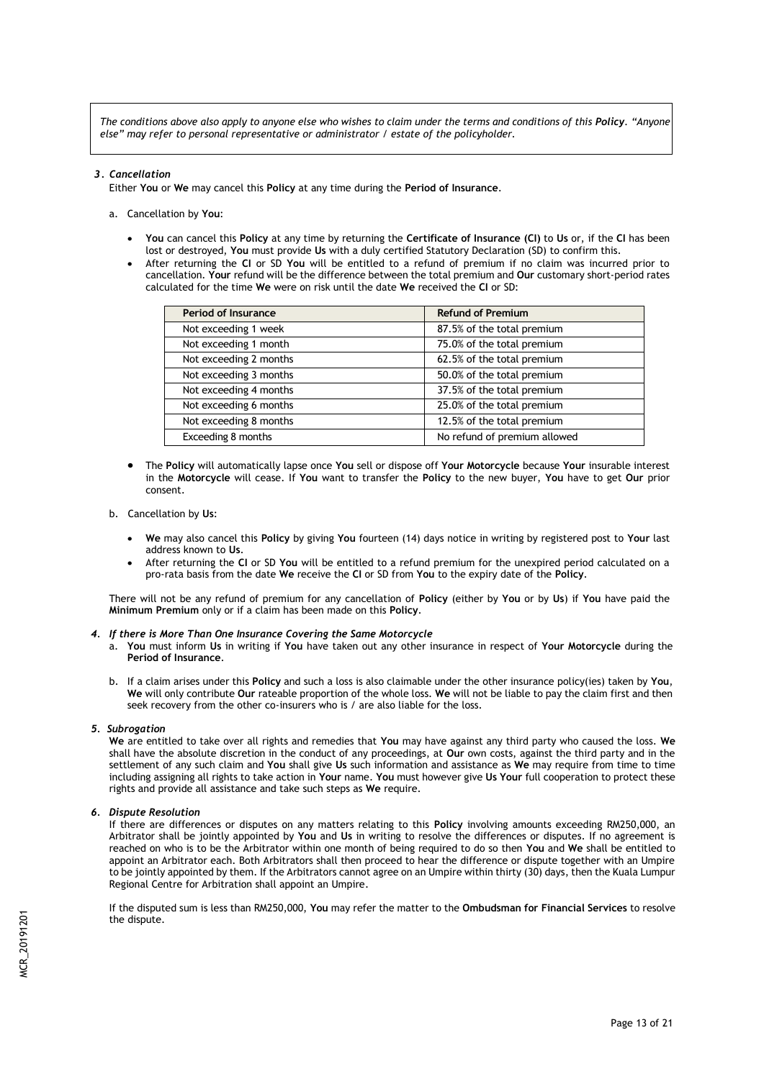*The conditions above also apply to anyone else who wishes to claim under the terms and conditions of this Policy. "Anyone else" may refer to personal representative or administrator / estate of the policyholder.* 

## *3. Cancellation*

Either **You** or **We** may cancel this **Policy** at any time during the **Period of Insurance**.

- a. Cancellation by **You**:
	- **You** can cancel this **Policy** at any time by returning the **Certificate of Insurance (CI)** to **Us** or, if the **CI** has been lost or destroyed, **You** must provide **Us** with a duly certified Statutory Declaration (SD) to confirm this.
	- After returning the **CI** or SD **You** will be entitled to a refund of premium if no claim was incurred prior to cancellation. **Your** refund will be the difference between the total premium and **Our** customary short-period rates calculated for the time **We** were on risk until the date **We** received the **CI** or SD:

| <b>Period of Insurance</b> | <b>Refund of Premium</b>     |
|----------------------------|------------------------------|
| Not exceeding 1 week       | 87.5% of the total premium   |
| Not exceeding 1 month      | 75.0% of the total premium   |
| Not exceeding 2 months     | 62.5% of the total premium   |
| Not exceeding 3 months     | 50.0% of the total premium   |
| Not exceeding 4 months     | 37.5% of the total premium   |
| Not exceeding 6 months     | 25.0% of the total premium   |
| Not exceeding 8 months     | 12.5% of the total premium   |
| Exceeding 8 months         | No refund of premium allowed |

 The **Policy** will automatically lapse once **You** sell or dispose off **Your Motorcycle** because **Your** insurable interest in the **Motorcycle** will cease. If **You** want to transfer the **Policy** to the new buyer, **You** have to get **Our** prior consent.

## b. Cancellation by **Us**:

- **We** may also cancel this **Policy** by giving **You** fourteen (14) days notice in writing by registered post to **Your** last address known to **Us**.
- After returning the **CI** or SD **You** will be entitled to a refund premium for the unexpired period calculated on a pro-rata basis from the date **We** receive the **CI** or SD from **You** to the expiry date of the **Policy**.

There will not be any refund of premium for any cancellation of **Policy** (either by **You** or by **Us**) if **You** have paid the **Minimum Premium** only or if a claim has been made on this **Policy**.

#### *4. If there is More Than One Insurance Covering the Same Motorcycle*

- a. **You** must inform **Us** in writing if **You** have taken out any other insurance in respect of **Your Motorcycle** during the **Period of Insurance**.
- b. If a claim arises under this **Policy** and such a loss is also claimable under the other insurance policy(ies) taken by **You**, **We** will only contribute **Our** rateable proportion of the whole loss. **We** will not be liable to pay the claim first and then seek recovery from the other co-insurers who is / are also liable for the loss.

## *5. Subrogation*

**We** are entitled to take over all rights and remedies that **You** may have against any third party who caused the loss. **We** shall have the absolute discretion in the conduct of any proceedings, at **Our** own costs, against the third party and in the settlement of any such claim and **You** shall give **Us** such information and assistance as **We** may require from time to time including assigning all rights to take action in **Your** name. **You** must however give **Us Your** full cooperation to protect these rights and provide all assistance and take such steps as **We** require.

## *6. Dispute Resolution*

If there are differences or disputes on any matters relating to this **Policy** involving amounts exceeding RM250,000, an Arbitrator shall be jointly appointed by **You** and **Us** in writing to resolve the differences or disputes. If no agreement is reached on who is to be the Arbitrator within one month of being required to do so then **You** and **We** shall be entitled to appoint an Arbitrator each. Both Arbitrators shall then proceed to hear the difference or dispute together with an Umpire to be jointly appointed by them. If the Arbitrators cannot agree on an Umpire within thirty (30) days, then the Kuala Lumpur Regional Centre for Arbitration shall appoint an Umpire.

If the disputed sum is less than RM250,000, **You** may refer the matter to the **Ombudsman for Financial Services** to resolve the dispute.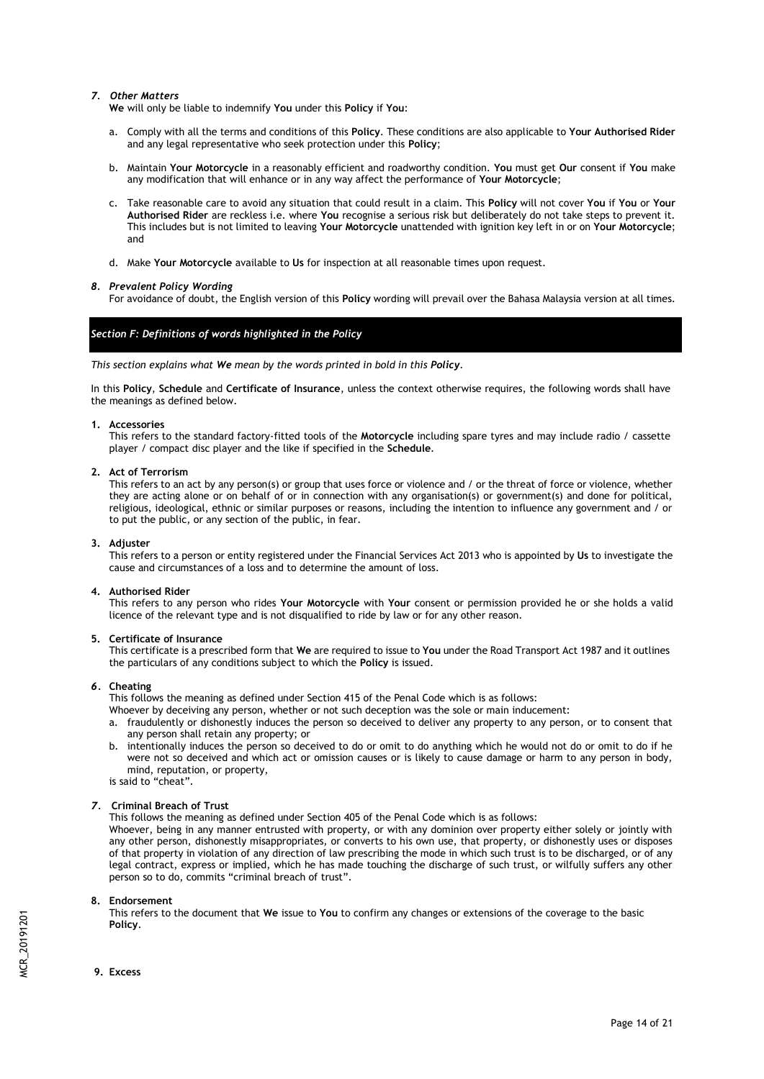## *7. Other Matters*

**We** will only be liable to indemnify **You** under this **Policy** if **You**:

- a. Comply with all the terms and conditions of this **Policy**. These conditions are also applicable to **Your Authorised Rider**  and any legal representative who seek protection under this **Policy**;
- b. Maintain **Your Motorcycle** in a reasonably efficient and roadworthy condition. **You** must get **Our** consent if **You** make any modification that will enhance or in any way affect the performance of **Your Motorcycle**;
- c. Take reasonable care to avoid any situation that could result in a claim. This **Policy** will not cover **You** if **You** or **Your Authorised Rider** are reckless i.e. where **You** recognise a serious risk but deliberately do not take steps to prevent it. This includes but is not limited to leaving **Your Motorcycle** unattended with ignition key left in or on **Your Motorcycle**; and
- d. Make **Your Motorcycle** available to **Us** for inspection at all reasonable times upon request.

## *8. Prevalent Policy Wording*

For avoidance of doubt, the English version of this **Policy** wording will prevail over the Bahasa Malaysia version at all times.

## *Section F: Definitions of words highlighted in the Policy*

*This section explains what We mean by the words printed in bold in this Policy.*

In this **Policy**, **Schedule** and **Certificate of Insurance**, unless the context otherwise requires, the following words shall have the meanings as defined below.

## **1. Accessories**

This refers to the standard factory-fitted tools of the **Motorcycle** including spare tyres and may include radio / cassette player / compact disc player and the like if specified in the **Schedule**.

## **2. Act of Terrorism**

This refers to an act by any person(s) or group that uses force or violence and / or the threat of force or violence, whether they are acting alone or on behalf of or in connection with any organisation(s) or government(s) and done for political, religious, ideological, ethnic or similar purposes or reasons, including the intention to influence any government and / or to put the public, or any section of the public, in fear.

### **3. Adjuster**

This refers to a person or entity registered under the Financial Services Act 2013 who is appointed by **Us** to investigate the cause and circumstances of a loss and to determine the amount of loss.

## **4. Authorised Rider**

This refers to any person who rides **Your Motorcycle** with **Your** consent or permission provided he or she holds a valid licence of the relevant type and is not disqualified to ride by law or for any other reason.

## **5. Certificate of Insurance**

This certificate is a prescribed form that **We** are required to issue to **You** under the Road Transport Act 1987 and it outlines the particulars of any conditions subject to which the **Policy** is issued.

## *6.* **Cheating**

This follows the meaning as defined under Section 415 of the Penal Code which is as follows:

- Whoever by deceiving any person, whether or not such deception was the sole or main inducement:
- a. fraudulently or dishonestly induces the person so deceived to deliver any property to any person, or to consent that any person shall retain any property; or
- b. intentionally induces the person so deceived to do or omit to do anything which he would not do or omit to do if he were not so deceived and which act or omission causes or is likely to cause damage or harm to any person in body, mind, reputation, or property, is said to "cheat".

# *7.* **Criminal Breach of Trust**

This follows the meaning as defined under Section 405 of the Penal Code which is as follows:

Whoever, being in any manner entrusted with property, or with any dominion over property either solely or jointly with any other person, dishonestly misappropriates, or converts to his own use, that property, or dishonestly uses or disposes of that property in violation of any direction of law prescribing the mode in which such trust is to be discharged, or of any legal contract, express or implied, which he has made touching the discharge of such trust, or wilfully suffers any other person so to do, commits "criminal breach of trust".

## **8. Endorsement**

This refers to the document that **We** issue to **You** to confirm any changes or extensions of the coverage to the basic **Policy**.

**9. Excess**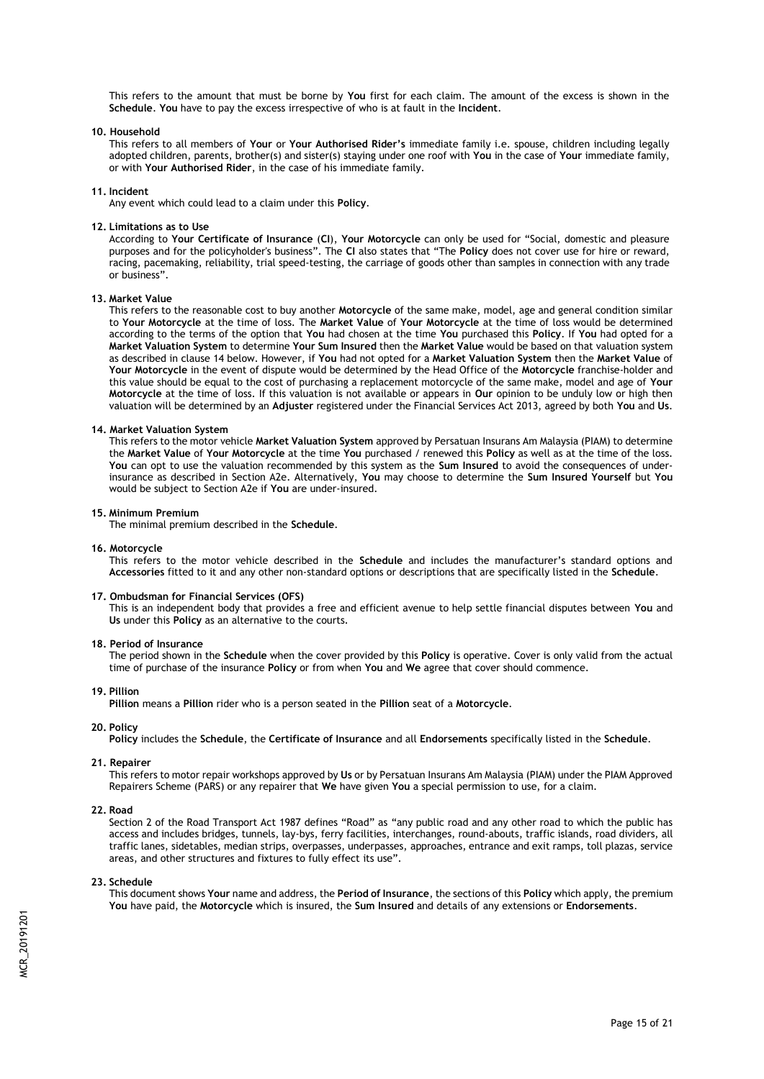This refers to the amount that must be borne by **You** first for each claim. The amount of the excess is shown in the **Schedule**. **You** have to pay the excess irrespective of who is at fault in the **Incident**.

#### **10. Household**

This refers to all members of **Your** or **Your Authorised Rider's** immediate family i.e. spouse, children including legally adopted children, parents, brother(s) and sister(s) staying under one roof with **You** in the case of **Your** immediate family, or with **Your Authorised Rider**, in the case of his immediate family.

#### **11. Incident**

Any event which could lead to a claim under this **Policy**.

#### **12. Limitations as to Use**

According to **Your Certificate of Insurance** (**CI**), **Your Motorcycle** can only be used for "Social, domestic and pleasure purposes and for the policyholder's business". The **CI** also states that "The **Policy** does not cover use for hire or reward, racing, pacemaking, reliability, trial speed-testing, the carriage of goods other than samples in connection with any trade or business".

#### **13. Market Value**

This refers to the reasonable cost to buy another **Motorcycle** of the same make, model, age and general condition similar to **Your Motorcycle** at the time of loss. The **Market Value** of **Your Motorcycle** at the time of loss would be determined according to the terms of the option that **You** had chosen at the time **You** purchased this **Policy**. If **You** had opted for a **Market Valuation System** to determine **Your Sum Insured** then the **Market Value** would be based on that valuation system as described in clause 14 below. However, if **You** had not opted for a **Market Valuation System** then the **Market Value** of **Your Motorcycle** in the event of dispute would be determined by the Head Office of the **Motorcycle** franchise-holder and this value should be equal to the cost of purchasing a replacement motorcycle of the same make, model and age of **Your Motorcycle** at the time of loss. If this valuation is not available or appears in **Our** opinion to be unduly low or high then valuation will be determined by an **Adjuster** registered under the Financial Services Act 2013, agreed by both **You** and **Us**.

#### **14. Market Valuation System**

This refers to the motor vehicle **Market Valuation System** approved by Persatuan Insurans Am Malaysia (PIAM) to determine the **Market Value** of **Your Motorcycle** at the time **You** purchased / renewed this **Policy** as well as at the time of the loss. **You** can opt to use the valuation recommended by this system as the **Sum Insured** to avoid the consequences of underinsurance as described in Section A2e. Alternatively, **You** may choose to determine the **Sum Insured Yourself** but **You** would be subject to Section A2e if **You** are under-insured.

#### **15. Minimum Premium**

The minimal premium described in the **Schedule**.

#### **16. Motorcycle**

This refers to the motor vehicle described in the **Schedule** and includes the manufacturer's standard options and **Accessories** fitted to it and any other non-standard options or descriptions that are specifically listed in the **Schedule**.

#### **17. Ombudsman for Financial Services (OFS)**

This is an independent body that provides a free and efficient avenue to help settle financial disputes between **You** and **Us** under this **Policy** as an alternative to the courts.

#### **18. Period of Insurance**

The period shown in the **Schedule** when the cover provided by this **Policy** is operative. Cover is only valid from the actual time of purchase of the insurance **Policy** or from when **You** and **We** agree that cover should commence.

#### **19. Pillion**

**Pillion** means a **Pillion** rider who is a person seated in the **Pillion** seat of a **Motorcycle**.

#### **20. Policy**

**Policy** includes the **Schedule**, the **Certificate of Insurance** and all **Endorsements** specifically listed in the **Schedule**.

#### **21. Repairer**

This refers to motor repair workshops approved by **Us** or by Persatuan Insurans Am Malaysia (PIAM) under the PIAM Approved Repairers Scheme (PARS) or any repairer that **We** have given **You** a special permission to use, for a claim.

### **22. Road**

Section 2 of the Road Transport Act 1987 defines "Road" as "any public road and any other road to which the public has access and includes bridges, tunnels, lay-bys, ferry facilities, interchanges, round-abouts, traffic islands, road dividers, all traffic lanes, sidetables, median strips, overpasses, underpasses, approaches, entrance and exit ramps, toll plazas, service areas, and other structures and fixtures to fully effect its use".

#### **23. Schedule**

This document shows **Your** name and address, the **Period of Insurance**, the sections of this **Policy** which apply, the premium **You** have paid, the **Motorcycle** which is insured, the **Sum Insured** and details of any extensions or **Endorsements**.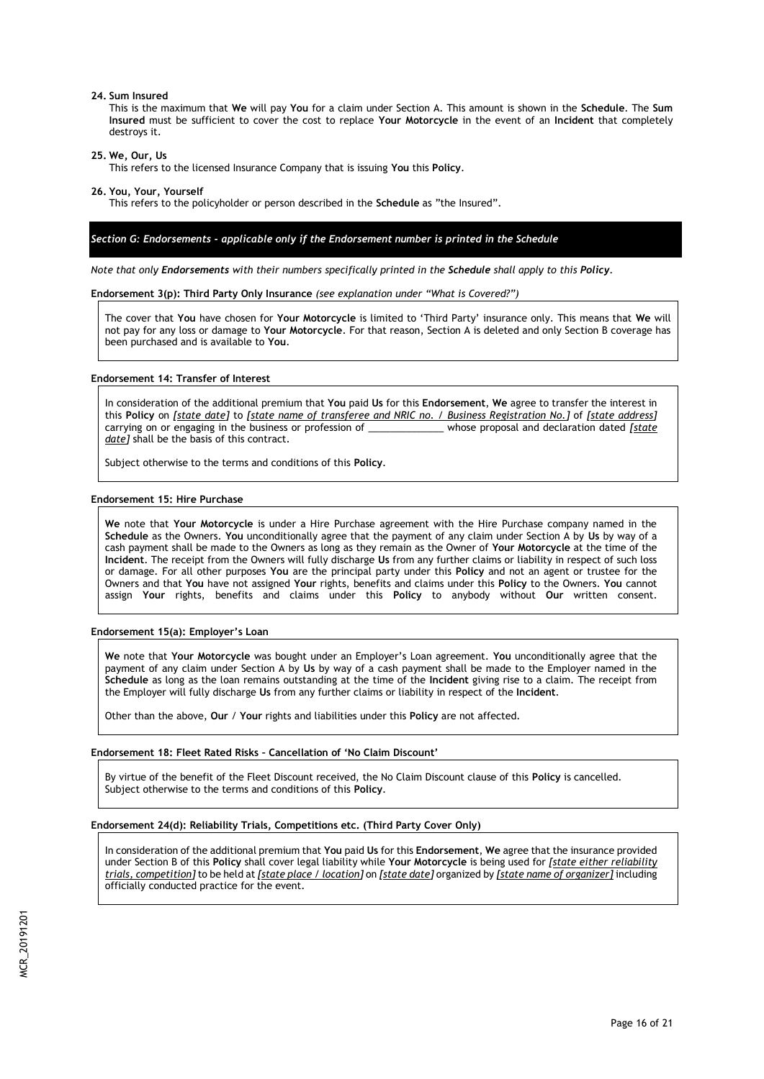#### **24. Sum Insured**

This is the maximum that **We** will pay **You** for a claim under Section A. This amount is shown in the **Schedule**. The **Sum Insured** must be sufficient to cover the cost to replace **Your Motorcycle** in the event of an **Incident** that completely destroys it.

**25. We, Our, Us** 

This refers to the licensed Insurance Company that is issuing **You** this **Policy**.

**26. You, Your, Yourself** 

This refers to the policyholder or person described in the **Schedule** as "the Insured".

## *Section G: Endorsements - applicable only if the Endorsement number is printed in the Schedule*

*Note that only Endorsements with their numbers specifically printed in the Schedule shall apply to this Policy.*

#### **Endorsement 3(p): Third Party Only Insurance** *(see explanation under "What is Covered?")*

The cover that **You** have chosen for **Your Motorcycle** is limited to 'Third Party' insurance only. This means that **We** will not pay for any loss or damage to **Your Motorcycle**. For that reason, Section A is deleted and only Section B coverage has been purchased and is available to **You**.

#### **Endorsement 14: Transfer of Interest**

In consideration of the additional premium that **You** paid **Us** for this **Endorsement**, **We** agree to transfer the interest in this **Policy** on *[state date]* to *[state name of transferee and NRIC no. / Business Registration No.]* of *[state address]* carrying on or engaging in the business or profession of date] shall be the basis of this contract.

Subject otherwise to the terms and conditions of this **Policy**.

#### **Endorsement 15: Hire Purchase**

**We** note that **Your Motorcycle** is under a Hire Purchase agreement with the Hire Purchase company named in the **Schedule** as the Owners. **You** unconditionally agree that the payment of any claim under Section A by **Us** by way of a cash payment shall be made to the Owners as long as they remain as the Owner of **Your Motorcycle** at the time of the **Incident**. The receipt from the Owners will fully discharge **Us** from any further claims or liability in respect of such loss or damage. For all other purposes **You** are the principal party under this **Policy** and not an agent or trustee for the Owners and that **You** have not assigned **Your** rights, benefits and claims under this **Policy** to the Owners. **You** cannot assign **Your** rights, benefits and claims under this **Policy** to anybody without **Our** written consent.

#### **Endorsement 15(a): Employer's Loan**

**We** note that **Your Motorcycle** was bought under an Employer's Loan agreement. **You** unconditionally agree that the payment of any claim under Section A by **Us** by way of a cash payment shall be made to the Employer named in the **Schedule** as long as the loan remains outstanding at the time of the **Incident** giving rise to a claim. The receipt from the Employer will fully discharge **Us** from any further claims or liability in respect of the **Incident**.

Other than the above, **Our** / **Your** rights and liabilities under this **Policy** are not affected.

## **Endorsement 18: Fleet Rated Risks – Cancellation of 'No Claim Discount'**

By virtue of the benefit of the Fleet Discount received, the No Claim Discount clause of this **Policy** is cancelled. Subject otherwise to the terms and conditions of this **Policy**.

## **Endorsement 24(d): Reliability Trials, Competitions etc. (Third Party Cover Only)**

In consideration of the additional premium that **You** paid **Us** for this **Endorsement**, **We** agree that the insurance provided under Section B of this **Policy** shall cover legal liability while **Your Motorcycle** is being used for *[state either reliability trials, competition]* to be held at *[state place / location]* on *[state date]* organized by *[state name of organizer]* including officially conducted practice for the event.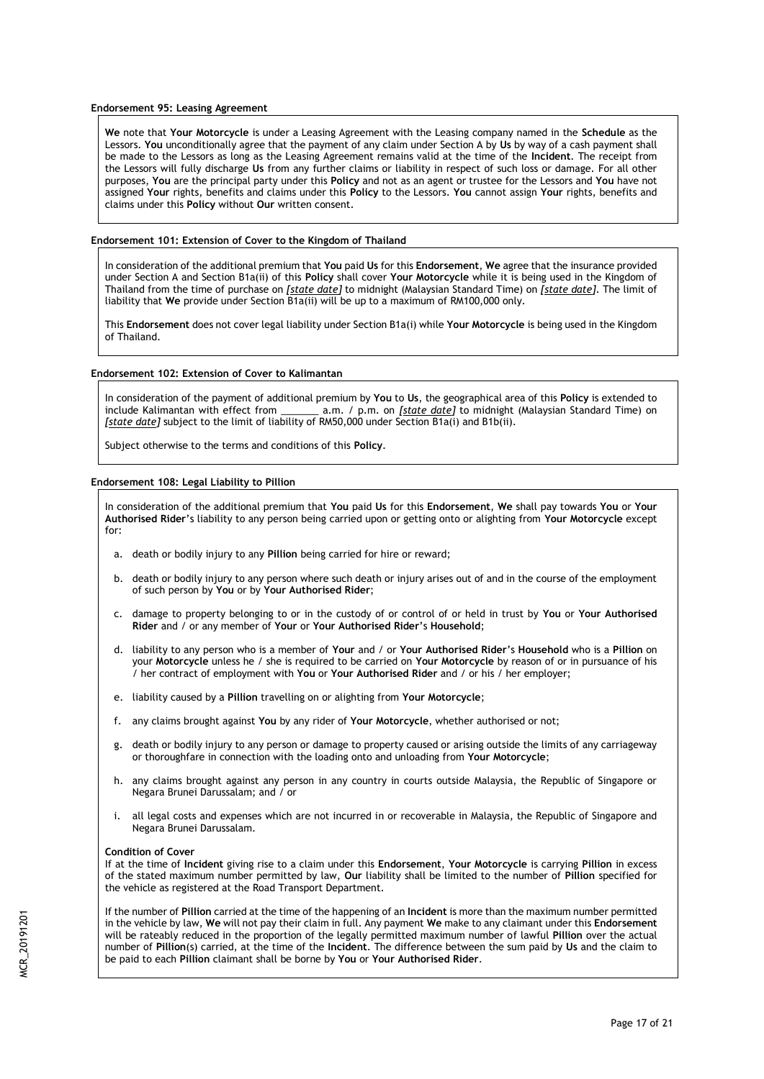## **Endorsement 95: Leasing Agreement**

**We** note that **Your Motorcycle** is under a Leasing Agreement with the Leasing company named in the **Schedule** as the Lessors. **You** unconditionally agree that the payment of any claim under Section A by **Us** by way of a cash payment shall be made to the Lessors as long as the Leasing Agreement remains valid at the time of the **Incident**. The receipt from the Lessors will fully discharge **Us** from any further claims or liability in respect of such loss or damage. For all other purposes, **You** are the principal party under this **Policy** and not as an agent or trustee for the Lessors and **You** have not assigned **Your** rights, benefits and claims under this **Policy** to the Lessors. **You** cannot assign **Your** rights, benefits and claims under this **Policy** without **Our** written consent.

### **Endorsement 101: Extension of Cover to the Kingdom of Thailand**

In consideration of the additional premium that **You** paid **Us** for this **Endorsement**, **We** agree that the insurance provided under Section A and Section B1a(ii) of this **Policy** shall cover **Your Motorcycle** while it is being used in the Kingdom of Thailand from the time of purchase on *[state date]* to midnight (Malaysian Standard Time) on *[state date]*. The limit of liability that **We** provide under Section B1a(ii) will be up to a maximum of RM100,000 only.

This **Endorsement** does not cover legal liability under Section B1a(i) while **Your Motorcycle** is being used in the Kingdom of Thailand.

#### **Endorsement 102: Extension of Cover to Kalimantan**

In consideration of the payment of additional premium by **You** to **Us**, the geographical area of this **Policy** is extended to include Kalimantan with effect from \_\_\_\_\_\_\_ a.m. / p.m. on *[state date]* to midnight (Malaysian Standard Time) on *[state date]* subject to the limit of liability of RM50,000 under Section B1a(i) and B1b(ii).

Subject otherwise to the terms and conditions of this **Policy**.

## **Endorsement 108: Legal Liability to Pillion**

In consideration of the additional premium that **You** paid **Us** for this **Endorsement**, **We** shall pay towards **You** or **Your Authorised Rider**'s liability to any person being carried upon or getting onto or alighting from **Your Motorcycle** except for:

- a. death or bodily injury to any **Pillion** being carried for hire or reward;
- b. death or bodily injury to any person where such death or injury arises out of and in the course of the employment of such person by **You** or by **Your Authorised Rider**;
- c. damage to property belonging to or in the custody of or control of or held in trust by **You** or **Your Authorised Rider** and / or any member of **Your** or **Your Authorised Rider**'s **Household**;
- d. liability to any person who is a member of **Your** and / or **Your Authorised Rider**'s **Household** who is a **Pillion** on your **Motorcycle** unless he / she is required to be carried on **Your Motorcycle** by reason of or in pursuance of his / her contract of employment with **You** or **Your Authorised Rider** and / or his / her employer;
- e. liability caused by a **Pillion** travelling on or alighting from **Your Motorcycle**;
- f. any claims brought against **You** by any rider of **Your Motorcycle**, whether authorised or not;
- g. death or bodily injury to any person or damage to property caused or arising outside the limits of any carriageway or thoroughfare in connection with the loading onto and unloading from **Your Motorcycle**;
- h. any claims brought against any person in any country in courts outside Malaysia, the Republic of Singapore or Negara Brunei Darussalam; and / or
- all legal costs and expenses which are not incurred in or recoverable in Malaysia, the Republic of Singapore and Negara Brunei Darussalam.

#### **Condition of Cover**

If at the time of **Incident** giving rise to a claim under this **Endorsement**, **Your Motorcycle** is carrying **Pillion** in excess of the stated maximum number permitted by law, **Our** liability shall be limited to the number of **Pillion** specified for the vehicle as registered at the Road Transport Department.

If the number of **Pillion** carried at the time of the happening of an **Incident** is more than the maximum number permitted in the vehicle by law, **We** will not pay their claim in full. Any payment **We** make to any claimant under this **Endorsement** will be rateably reduced in the proportion of the legally permitted maximum number of lawful **Pillion** over the actual number of **Pillion**(s) carried, at the time of the **Incident**. The difference between the sum paid by **Us** and the claim to be paid to each **Pillion** claimant shall be borne by **You** or **Your Authorised Rider**.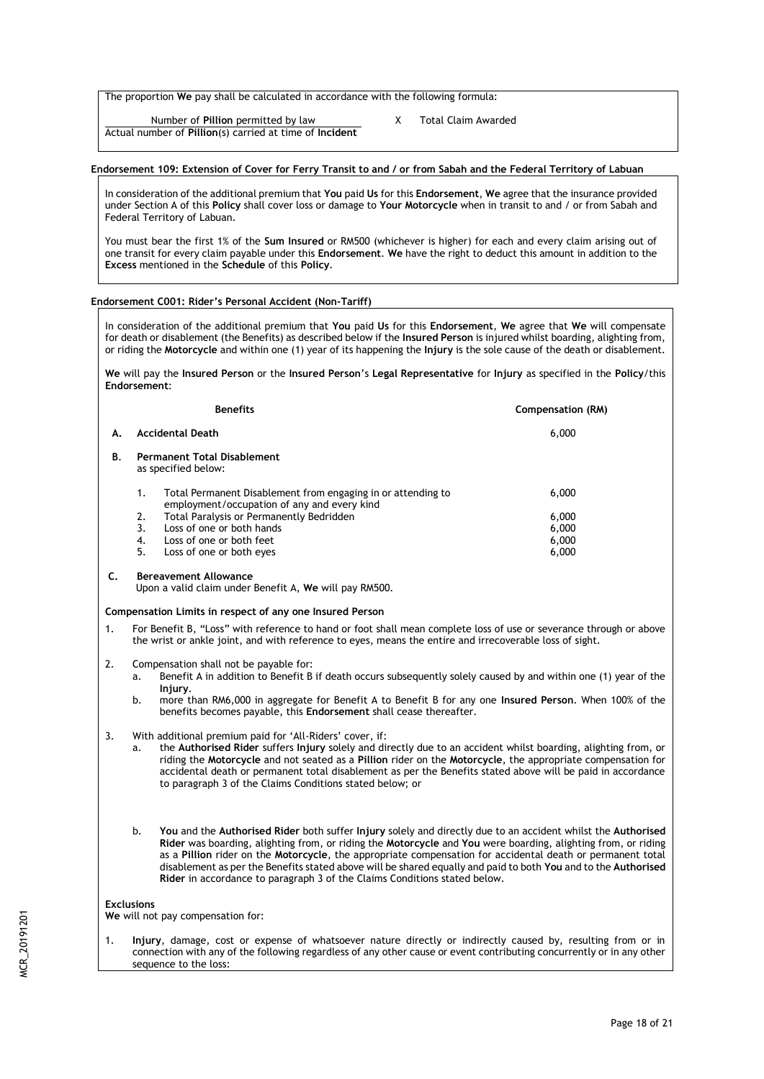The proportion **We** pay shall be calculated in accordance with the following formula:

Number of **Pillion** permitted by law X Total Claim Awarded Actual number of **Pillion**(s) carried at time of **Incident**

## **Endorsement 109: Extension of Cover for Ferry Transit to and / or from Sabah and the Federal Territory of Labuan**

In consideration of the additional premium that **You** paid **Us** for this **Endorsement**, **We** agree that the insurance provided under Section A of this **Policy** shall cover loss or damage to **Your Motorcycle** when in transit to and / or from Sabah and Federal Territory of Labuan.

You must bear the first 1% of the **Sum Insured** or RM500 (whichever is higher) for each and every claim arising out of one transit for every claim payable under this **Endorsement**. **We** have the right to deduct this amount in addition to the **Excess** mentioned in the **Schedule** of this **Policy**.

## **Endorsement C001: Rider's Personal Accident (Non-Tariff)**

In consideration of the additional premium that **You** paid **Us** for this **Endorsement**, **We** agree that **We** will compensate for death or disablement (the Benefits) as described below if the **Insured Person** is injured whilst boarding, alighting from, or riding the **Motorcycle** and within one (1) year of its happening the **Injury** is the sole cause of the death or disablement.

**We** will pay the **Insured Person** or the **Insured Person**'s **Legal Representative** for **Injury** as specified in the **Policy**/this **Endorsement**:

|    | <b>Benefits</b>                                                                                                   | Compensation (RM) |
|----|-------------------------------------------------------------------------------------------------------------------|-------------------|
| Α. | <b>Accidental Death</b>                                                                                           | 6,000             |
| В. | <b>Permanent Total Disablement</b><br>as specified below:                                                         |                   |
|    | Total Permanent Disablement from engaging in or attending to<br>1.<br>employment/occupation of any and every kind | 6,000             |
|    | Total Paralysis or Permanently Bedridden<br>2.                                                                    | 6,000             |
|    | Loss of one or both hands<br>3.                                                                                   | 6,000             |
|    | Loss of one or both feet<br>4.                                                                                    | 6,000             |
|    | 5.<br>Loss of one or both eyes                                                                                    | 6,000             |
|    | <b>Rereavement Allowance</b>                                                                                      |                   |

Upon a valid claim under Benefit A, **We** will pay RM500.

## **Compensation Limits in respect of any one Insured Person**

- 1. For Benefit B, "Loss" with reference to hand or foot shall mean complete loss of use or severance through or above the wrist or ankle joint, and with reference to eyes, means the entire and irrecoverable loss of sight.
- 2. Compensation shall not be payable for:
	- a. Benefit A in addition to Benefit B if death occurs subsequently solely caused by and within one (1) year of the **Injury**.
	- b. more than RM6,000 in aggregate for Benefit A to Benefit B for any one **Insured Person**. When 100% of the benefits becomes payable, this **Endorsement** shall cease thereafter.
- 3. With additional premium paid for 'All-Riders' cover, if:
	- a. the **Authorised Rider** suffers **Injury** solely and directly due to an accident whilst boarding, alighting from, or riding the **Motorcycle** and not seated as a **Pillion** rider on the **Motorcycle**, the appropriate compensation for accidental death or permanent total disablement as per the Benefits stated above will be paid in accordance to paragraph 3 of the Claims Conditions stated below; or
	- b. **You** and the **Authorised Rider** both suffer **Injury** solely and directly due to an accident whilst the **Authorised Rider** was boarding, alighting from, or riding the **Motorcycle** and **You** were boarding, alighting from, or riding as a **Pillion** rider on the **Motorcycle**, the appropriate compensation for accidental death or permanent total disablement as per the Benefits stated above will be shared equally and paid to both **You** and to the **Authorised Rider** in accordance to paragraph 3 of the Claims Conditions stated below.

## **Exclusions**

**We** will not pay compensation for:

1. **Injury**, damage, cost or expense of whatsoever nature directly or indirectly caused by, resulting from or in connection with any of the following regardless of any other cause or event contributing concurrently or in any other sequence to the loss: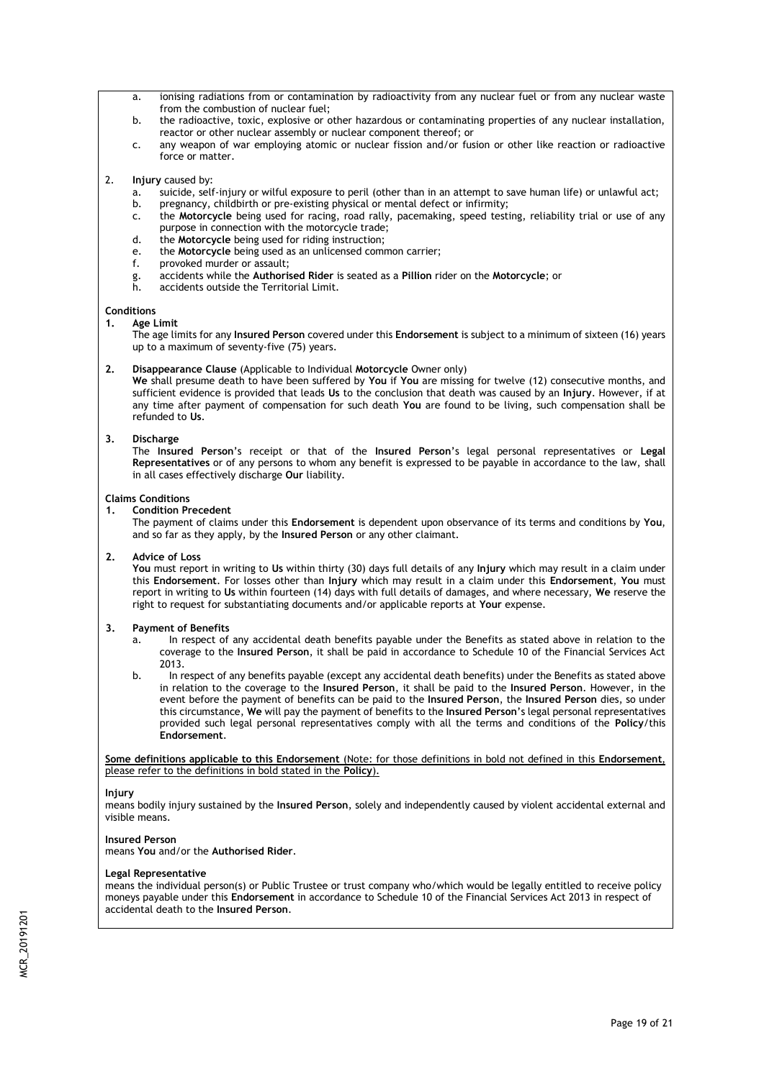- a. ionising radiations from or contamination by radioactivity from any nuclear fuel or from any nuclear waste from the combustion of nuclear fuel;
- b. the radioactive, toxic, explosive or other hazardous or contaminating properties of any nuclear installation, reactor or other nuclear assembly or nuclear component thereof; or
- c. any weapon of war employing atomic or nuclear fission and/or fusion or other like reaction or radioactive force or matter.
- 2. **Injury** caused by:
	- a. suicide, self-injury or wilful exposure to peril (other than in an attempt to save human life) or unlawful act;
	- b. pregnancy, childbirth or pre-existing physical or mental defect or infirmity;
	- c. the **Motorcycle** being used for racing, road rally, pacemaking, speed testing, reliability trial or use of any purpose in connection with the motorcycle trade;
	- d. the **Motorcycle** being used for riding instruction;
	- e. the **Motorcycle** being used as an unlicensed common carrier;
	- f. provoked murder or assault;
	- g. accidents while the **Authorised Rider** is seated as a **Pillion** rider on the **Motorcycle**; or
	- accidents outside the Territorial Limit.

## **Conditions**

**1. Age Limit**

The age limits for any **Insured Person** covered under this **Endorsement** is subject to a minimum of sixteen (16) years up to a maximum of seventy-five (75) years.

## **2. Disappearance Clause** (Applicable to Individual **Motorcycle** Owner only)

**We** shall presume death to have been suffered by **You** if **You** are missing for twelve (12) consecutive months, and sufficient evidence is provided that leads **Us** to the conclusion that death was caused by an **Injury**. However, if at any time after payment of compensation for such death **You** are found to be living, such compensation shall be refunded to **Us**.

## **3. Discharge**

The **Insured Person**'s receipt or that of the **Insured Person**'s legal personal representatives or **Legal Representatives** or of any persons to whom any benefit is expressed to be payable in accordance to the law, shall in all cases effectively discharge **Our** liability.

## **Claims Conditions**

**1. Condition Precedent** 

The payment of claims under this **Endorsement** is dependent upon observance of its terms and conditions by **You**, and so far as they apply, by the **Insured Person** or any other claimant.

## **2. Advice of Loss**

**You** must report in writing to **Us** within thirty (30) days full details of any **Injury** which may result in a claim under this **Endorsement**. For losses other than **Injury** which may result in a claim under this **Endorsement**, **You** must report in writing to **Us** within fourteen (14) days with full details of damages, and where necessary, **We** reserve the right to request for substantiating documents and/or applicable reports at **Your** expense.

## **3. Payment of Benefits**

- In respect of any accidental death benefits payable under the Benefits as stated above in relation to the coverage to the **Insured Person**, it shall be paid in accordance to Schedule 10 of the Financial Services Act 2013.
- b. In respect of any benefits payable (except any accidental death benefits) under the Benefits as stated above in relation to the coverage to the **Insured Person**, it shall be paid to the **Insured Person**. However, in the event before the payment of benefits can be paid to the **Insured Person**, the **Insured Person** dies, so under this circumstance, **We** will pay the payment of benefits to the **Insured Person**'s legal personal representatives provided such legal personal representatives comply with all the terms and conditions of the **Policy**/this **Endorsement**.

**Some definitions applicable to this Endorsement** (Note: for those definitions in bold not defined in this **Endorsement**, please refer to the definitions in bold stated in the **Policy**).

## **Injury**

means bodily injury sustained by the **Insured Person**, solely and independently caused by violent accidental external and visible means.

## **Insured Person**

means **You** and/or the **Authorised Rider**.

## **Legal Representative**

means the individual person(s) or Public Trustee or trust company who/which would be legally entitled to receive policy moneys payable under this **Endorsement** in accordance to Schedule 10 of the Financial Services Act 2013 in respect of accidental death to the **Insured Person**.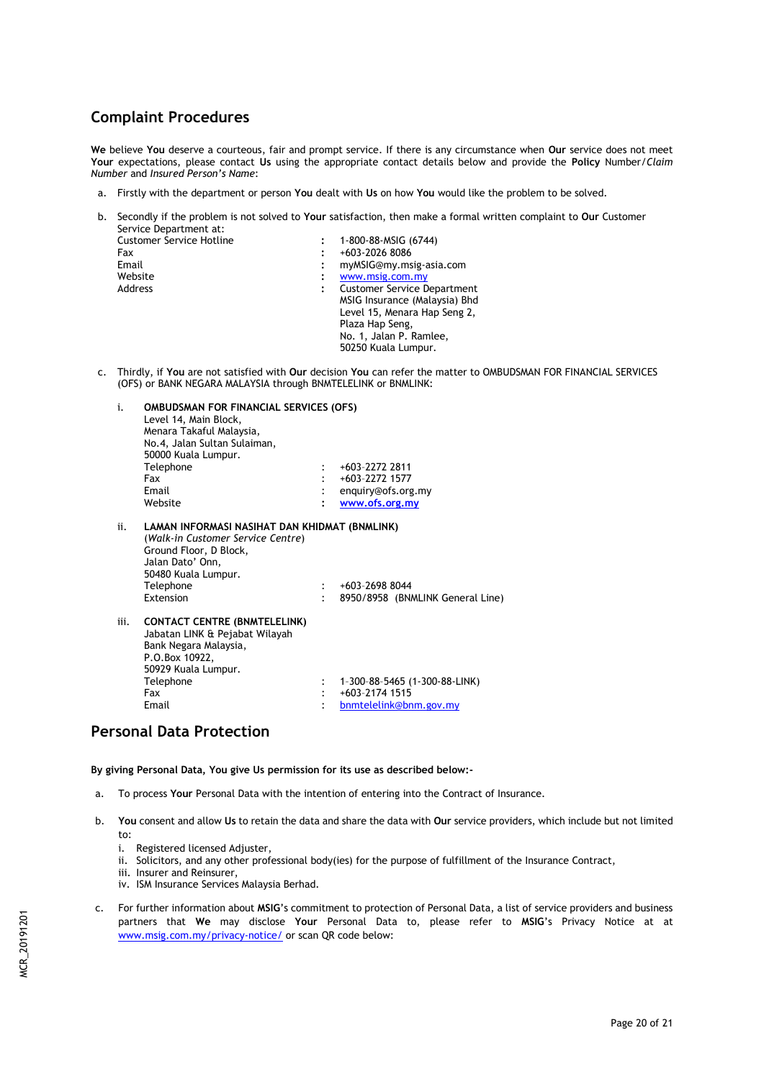# **Complaint Procedures**

**We** believe **You** deserve a courteous, fair and prompt service. If there is any circumstance when **Our** service does not meet **Your** expectations, please contact **Us** using the appropriate contact details below and provide the **Policy** Number/*Claim Number* and *Insured Person's Name*:

- a. Firstly with the department or person **You** dealt with **Us** on how **You** would like the problem to be solved.
- b. Secondly if the problem is not solved to **Your** satisfaction, then make a formal written complaint to **Our** Customer Service Department at:

| <b>Customer Service Hotline</b> | 1-800-88-MSIG (6744)               |
|---------------------------------|------------------------------------|
| Fax                             | +603-2026 8086                     |
| Email                           | myMSIG@my.msig-asia.com            |
| Website                         | www.msig.com.my                    |
| Address                         | <b>Customer Service Department</b> |
|                                 | MSIG Insurance (Malaysia) Bhd      |
|                                 | Level 15, Menara Hap Seng 2,       |
|                                 | Plaza Hap Seng,                    |
|                                 | No. 1, Jalan P. Ramlee,            |
|                                 | 50250 Kuala Lumpur.                |
|                                 |                                    |

c. Thirdly, if **You** are not satisfied with **Our** decision **You** can refer the matter to OMBUDSMAN FOR FINANCIAL SERVICES (OFS) or BANK NEGARA MALAYSIA through BNMTELELINK or BNMLINK:

| i.   | <b>OMBUDSMAN FOR FINANCIAL SERVICES (OFS)</b><br>Level 14, Main Block,<br>Menara Takaful Malaysia,<br>No.4, Jalan Sultan Sulaiman,<br>50000 Kuala Lumpur.                                |                |                                                                           |
|------|------------------------------------------------------------------------------------------------------------------------------------------------------------------------------------------|----------------|---------------------------------------------------------------------------|
|      | Telephone                                                                                                                                                                                |                | +603-2272 2811                                                            |
|      | Fax                                                                                                                                                                                      |                | +603-2272 1577                                                            |
|      | Email                                                                                                                                                                                    |                | enquiry@ofs.org.my                                                        |
|      | Website                                                                                                                                                                                  |                | www.ofs.org.my                                                            |
| ii.  | LAMAN INFORMASI NASIHAT DAN KHIDMAT (BNMLINK)<br>(Walk-in Customer Service Centre)<br>Ground Floor, D Block,<br>Jalan Dato' Onn,<br>50480 Kuala Lumpur.<br>Telephone<br><b>Fxtension</b> | ۰              | $+603-26988044$<br>8950/8958 (BNMLINK General Line)                       |
| iii. | <b>CONTACT CENTRE (BNMTELELINK)</b><br>Jabatan LINK & Pejabat Wilayah<br>Bank Negara Malaysia,<br>P.O.Box 10922,<br>50929 Kuala Lumpur.<br>Telephone<br>Fax<br>Email                     | $\ddot{\cdot}$ | 1-300-88-5465 (1-300-88-LINK)<br>+603-2174 1515<br>bnmtelelink@bnm.gov.my |

# **Personal Data Protection**

**By giving Personal Data, You give Us permission for its use as described below:-**

- a. To process **Your** Personal Data with the intention of entering into the Contract of Insurance.
- b. **You** consent and allow **Us** to retain the data and share the data with **Our** service providers, which include but not limited to:
	- i. Registered licensed Adjuster,
	- ii. Solicitors, and any other professional body(ies) for the purpose of fulfillment of the Insurance Contract,
	- iii. Insurer and Reinsurer,
	- iv. ISM Insurance Services Malaysia Berhad.
- c. For further information about **MSIG**'s commitment to protection of Personal Data, a list of service providers and business partners that **We** may disclose **Your** Personal Data to, please refer to **MSIG**'s Privacy Notice at at [www.msig.com.my/](http://www.msig.com.my/)privacy-notice/ or scan QR code below: